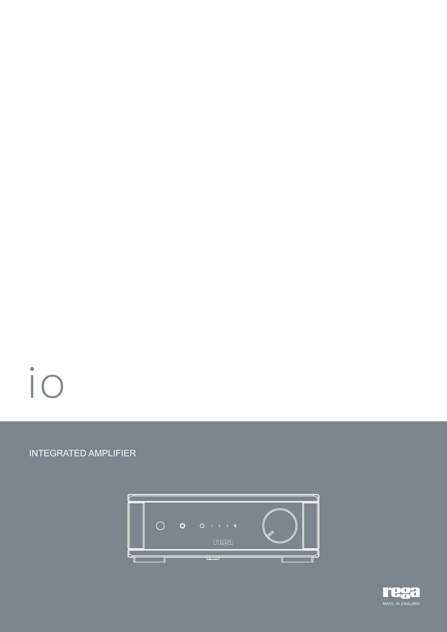# io

# INTEGRATED AMPLIFIER



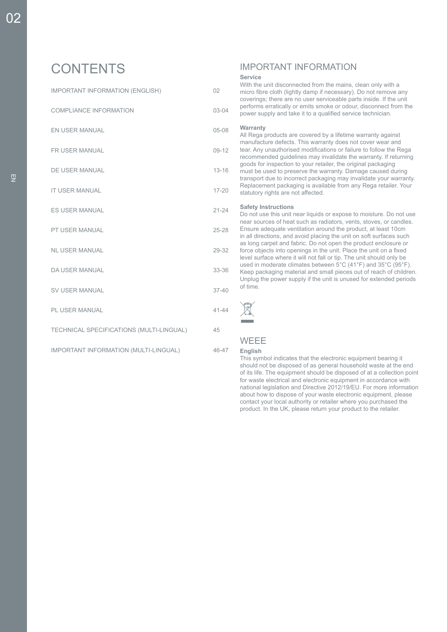# **CONTENTS**

IMPORTANT INFORMATION (ENGLISH) 02

COMPLIANCE INFORMATION 03-04

EN USER MANUAL 05-08

FR USER MANUAL 09-12

DE USER MANUAL 13-16

IT USER MANUAL 17-20

ES USER MANUAL 21-24 PT USER MANUAL 25-28

NL USER MANUAL 29-32

DA USER MANUAL 33-36

SV USER MANUAL 37-40

PL USER MANUAL 41-44

TECHNICAL SPECIFICATIONS (MULTI-LINGUAL) 45

IMPORTANT INFORMATION (MULTI-LINGUAL) 46-47

# IMPORTANT INFORMATION

#### **Service**

With the unit disconnected from the mains, clean only with a micro fibre cloth (lightly damp if necessary). Do not remove any coverings; there are no user serviceable parts inside. If the unit performs erratically or emits smoke or odour, disconnect from the power supply and take it to a qualified service technician.

#### **Warranty**

All Rega products are covered by a lifetime warranty against manufacture defects. This warranty does not cover wear and tear. Any unauthorised modifications or failure to follow the Rega recommended guidelines may invalidate the warranty. If returning goods for inspection to your retailer, the original packaging must be used to preserve the warranty. Damage caused during transport due to incorrect packaging may invalidate your warranty. Replacement packaging is available from any Rega retailer. Your statutory rights are not affected.

#### **Safety Instructions**

Do not use this unit near liquids or expose to moisture. Do not use near sources of heat such as radiators, vents, stoves, or candles. Ensure adequate ventilation around the product, at least 10cm in all directions, and avoid placing the unit on soft surfaces such as long carpet and fabric. Do not open the product enclosure or force objects into openings in the unit. Place the unit on a fixed level surface where it will not fall or tip. The unit should only be used in moderate climates between 5°C (41°F) and 35°C (95°F). Keep packaging material and small pieces out of reach of children. Unplug the power supply if the unit is unused for extended periods of time.



#### **WEEE**

#### **English**

This symbol indicates that the electronic equipment bearing it should not be disposed of as general household waste at the end of its life. The equipment should be disposed of at a collection point for waste electrical and electronic equipment in accordance with national legislation and Directive 2012/19/EU. For more information about how to dispose of your waste electronic equipment, please contact your local authority or retailer where you purchased the product. In the UK, please return your product to the retailer.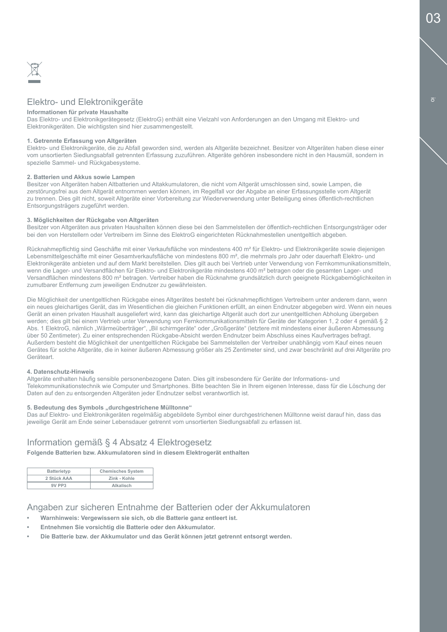

# Elektro- und Elektronikgeräte

#### **Informationen für private Haushalte**

Das Elektro- und Elektronikgerätegesetz (ElektroG) enthält eine Vielzahl von Anforderungen an den Umgang mit Elektro- und Elektronikgeräten. Die wichtigsten sind hier zusammengestellt.

#### **1. Getrennte Erfassung von Altgeräten**

Elektro- und Elektronikgeräte, die zu Abfall geworden sind, werden als Altgeräte bezeichnet. Besitzer von Altgeräten haben diese einer vom unsortierten Siedlungsabfall getrennten Erfassung zuzuführen. Altgeräte gehören insbesondere nicht in den Hausmüll, sondern in spezielle Sammel- und Rückgabesysteme.

#### **2. Batterien und Akkus sowie Lampen**

Besitzer von Altgeräten haben Altbatterien und Altakkumulatoren, die nicht vom Altgerät umschlossen sind, sowie Lampen, die zerstörungsfrei aus dem Altgerät entnommen werden können, im Regelfall vor der Abgabe an einer Erfassungsstelle vom Altgerät zu trennen. Dies gilt nicht, soweit Altgeräte einer Vorbereitung zur Wiederverwendung unter Beteiligung eines öffentlich-rechtlichen Entsorgungsträgers zugeführt werden.

#### **3. Möglichkeiten der Rückgabe von Altgeräten**

Besitzer von Altgeräten aus privaten Haushalten können diese bei den Sammelstellen der öffentlich-rechtlichen Entsorgungsträger oder bei den von Herstellern oder Vertreibern im Sinne des ElektroG eingerichteten Rücknahmestellen unentgeltlich abgeben.

Rücknahmepflichtig sind Geschäfte mit einer Verkaufsfläche von mindestens 400 m<sup>2</sup> für Elektro- und Elektronikgeräte sowie diejenigen Lebensmittelgeschäfte mit einer Gesamtverkaufsfläche von mindestens 800 m², die mehrmals pro Jahr oder dauerhaft Elektro- und Elektronikgeräte anbieten und auf dem Markt bereitstellen. Dies gilt auch bei Vertrieb unter Verwendung von Fernkommunikationsmitteln, wenn die Lager- und Versandflächen für Elektro- und Elektronikgeräte mindestens 400 m<sup>2</sup> betragen oder die gesamten Lager- und Versandflächen mindestens 800 m² betragen. Vertreiber haben die Rücknahme grundsätzlich durch geeignete Rückgabemöglichkeiten in zumutbarer Entfernung zum jeweiligen Endnutzer zu gewährleisten.

Die Möglichkeit der unentgeltlichen Rückgabe eines Altgerätes besteht bei rücknahmepflichtigen Vertreibern unter anderem dann, wenn ein neues gleichartiges Gerät, das im Wesentlichen die gleichen Funktionen erfüllt, an einen Endnutzer abgegeben wird. Wenn ein neues Gerät an einen privaten Haushalt ausgeliefert wird, kann das gleichartige Altgerät auch dort zur unentgeltlichen Abholung übergeben werden; dies gilt bei einem Vertrieb unter Verwendung von Fernkommunikationsmitteln für Geräte der Kategorien 1, 2 oder 4 gemäß § 2 Abs. 1 ElektroG, nämlich "Wärmeüberträger", "Bil schirmgeräte" oder "Großgeräte" (letztere mit mindestens einer äußeren Abmessung über 50 Zentimeter). Zu einer entsprechenden Rückgabe-Absicht werden Endnutzer beim Abschluss eines Kaufvertrages befragt. Außerdem besteht die Möglichkeit der unentgeltlichen Rückgabe bei Sammelstellen der Vertreiber unabhängig vom Kauf eines neuen Gerätes für solche Altgeräte, die in keiner äußeren Abmessung größer als 25 Zentimeter sind, und zwar beschränkt auf drei Altgeräte pro Geräteart.

#### **4. Datenschutz-Hinweis**

Altgeräte enthalten häufig sensible personenbezogene Daten. Dies gilt insbesondere für Geräte der Informations- und Telekommunikationstechnik wie Computer und Smartphones. Bitte beachten Sie in Ihrem eigenen Interesse, dass für die Löschung der Daten auf den zu entsorgenden Altgeräten jeder Endnutzer selbst verantwortlich ist.

#### **5. Bedeutung des Symbols "durchgestrichene Mülltonne"**

Das auf Elektro- und Elektronikgeräten regelmäßig abgebildete Symbol einer durchgestrichenen Mülltonne weist darauf hin, dass das jeweilige Gerät am Ende seiner Lebensdauer getrennt vom unsortierten Siedlungsabfall zu erfassen ist.

#### Information gemäß § 4 Absatz 4 Elektrogesetz

**Folgende Batterien bzw. Akkumulatoren sind in diesem Elektrogerät enthalten**

| Batterietyp | <b>Chemisches System</b> |
|-------------|--------------------------|
| 2 Stück AAA | Zink - Kohle             |
| 9V PP3      | Alkalisch                |

#### Angaben zur sicheren Entnahme der Batterien oder der Akkumulatoren

- **• Warnhinweis: Vergewissern sie sich, ob die Batterie ganz entleert ist.**
- **• Entnehmen Sie vorsichtig die Batterie oder den Akkumulator.**
- **• Die Batterie bzw. der Akkumulator und das Gerät können jetzt getrennt entsorgt werden.**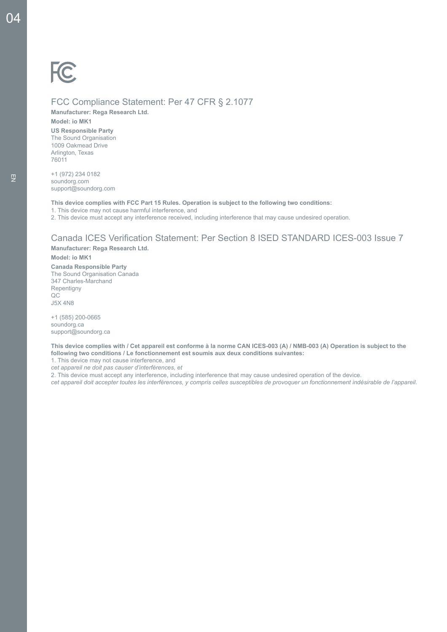# FCC Compliance Statement: Per 47 CFR § 2.1077

**Manufacturer: Rega Research Ltd.** 

**Model: io MK1**

**US Responsible Party** The Sound Organisation 1009 Oakmead Drive Arlington, Texas 76011

+1 (972) 234 0182 soundorg.com support@soundorg.com

**This device complies with FCC Part 15 Rules. Operation is subject to the following two conditions:**

1. This device may not cause harmful interference, and

2. This device must accept any interference received, including interference that may cause undesired operation.

# Canada ICES Verification Statement: Per Section 8 ISED STANDARD ICES-003 Issue 7

**Manufacturer: Rega Research Ltd.**

**Model: io MK1**

**Canada Responsible Party** The Sound Organisation Canada 347 Charles-Marchand Repentigny  $OC$ J5X 4N8

+1 (585) 200-0665 soundorg.ca support@soundorg.ca

**This device complies with / Cet appareil est conforme à la norme CAN ICES-003 (A) / NMB-003 (A) Operation is subject to the following two conditions / Le fonctionnement est soumis aux deux conditions suivantes:**

1. This device may not cause interference, and

*cet appareil ne doit pas causer d'interférences, et*

2. This device must accept any interference, including interference that may cause undesired operation of the device.

*cet appareil doit accepter toutes les interférences, y compris celles susceptibles de provoquer un fonctionnement indésirable de l'appareil.*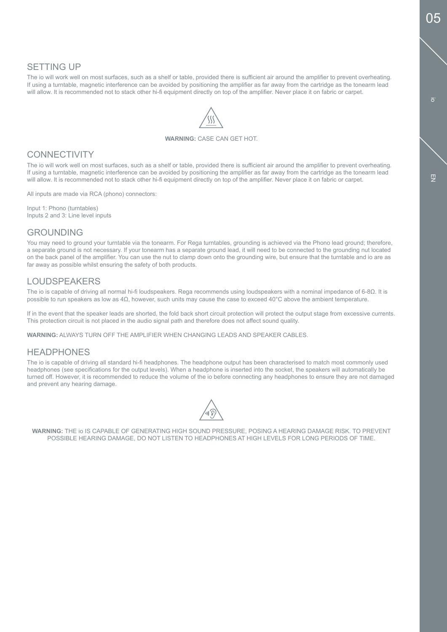# SETTING UP

The io will work well on most surfaces, such as a shelf or table, provided there is sufficient air around the amplifier to prevent overheating. If using a turntable, magnetic interference can be avoided by positioning the amplifier as far away from the cartridge as the tonearm lead will allow. It is recommended not to stack other hi-fi equipment directly on top of the amplifier. Never place it on fabric or carpet.

#### **WARNING:** CASE CAN GET HOT.

### **CONNECTIVITY**

The io will work well on most surfaces, such as a shelf or table, provided there is sufficient air around the amplifier to prevent overheating. If using a turntable, magnetic interference can be avoided by positioning the amplifier as far away from the cartridge as the tonearm lead will allow. It is recommended not to stack other hi-fi equipment directly on top of the amplifier. Never place it on fabric or carpet.

All inputs are made via RCA (phono) connectors:

Input 1: Phono (turntables) Inputs 2 and 3: Line level inputs

### GROUNDING

You may need to ground your turntable via the tonearm. For Rega turntables, grounding is achieved via the Phono lead ground; therefore, a separate ground is not necessary. If your tonearm has a separate ground lead, it will need to be connected to the grounding nut located on the back panel of the amplifier. You can use the nut to clamp down onto the grounding wire, but ensure that the turntable and io are as far away as possible whilst ensuring the safety of both products.

# LOUDSPEAKERS

The io is capable of driving all normal hi-fi loudspeakers. Rega recommends using loudspeakers with a nominal impedance of 6-8Ω. It is possible to run speakers as low as 4Ω, however, such units may cause the case to exceed 40°C above the ambient temperature.

If in the event that the speaker leads are shorted, the fold back short circuit protection will protect the output stage from excessive currents. This protection circuit is not placed in the audio signal path and therefore does not affect sound quality.

**WARNING:** ALWAYS TURN OFF THE AMPLIFIER WHEN CHANGING LEADS AND SPEAKER CABLES.

### **HEADPHONES**

The io is capable of driving all standard hi-fi headphones. The headphone output has been characterised to match most commonly used headphones (see specifications for the output levels). When a headphone is inserted into the socket, the speakers will automatically be turned off. However, it is recommended to reduce the volume of the io before connecting any headphones to ensure they are not damaged and prevent any hearing damage.



**WARNING:** THE io IS CAPABLE OF GENERATING HIGH SOUND PRESSURE, POSING A HEARING DAMAGE RISK. TO PREVENT POSSIBLE HEARING DAMAGE, DO NOT LISTEN TO HEADPHONES AT HIGH LEVELS FOR LONG PERIODS OF TIME.

 $\overline{a}$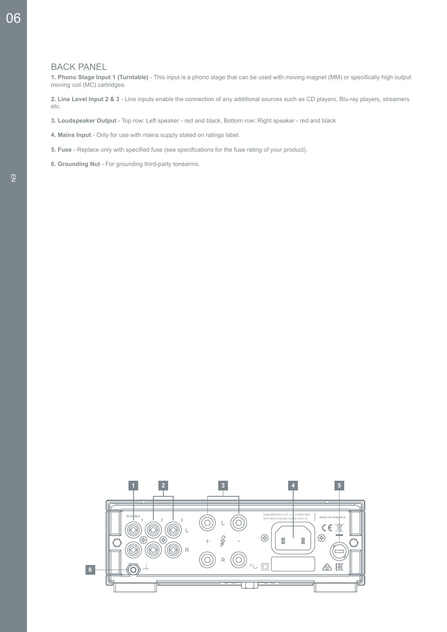#### BACK PANEL

**1. Phono Stage Input 1 (Turntable)** - This input is a phono stage that can be used with moving magnet (MM) or specifically high output moving coil (MC) cartridges.

**2. Line Level Input 2 & 3** - Line inputs enable the connection of any additional sources such as CD players, Blu-ray players, streamers etc.

- **3. Loudspeaker Output** Top row: Left speaker red and black, Bottom row: Right speaker red and black
- **4. Mains Input**  Only for use with mains supply stated on ratings label.
- **5. Fuse**  Replace only with specified fuse (see specifications for the fuse rating of your product).
- **6. Grounding Nut** For grounding third-party tonearms.

06

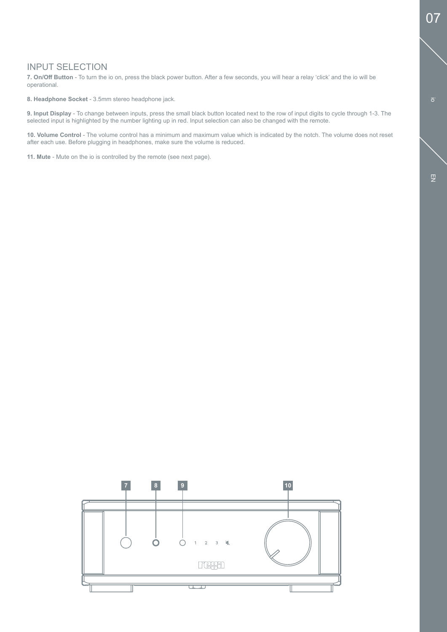# INPUT SELECTION

**7. On/Off Button** - To turn the io on, press the black power button. After a few seconds, you will hear a relay 'click' and the io will be operational.

**8. Headphone Socket** - 3.5mm stereo headphone jack.

**9. Input Display** - To change between inputs, press the small black button located next to the row of input digits to cycle through 1-3. The selected input is highlighted by the number lighting up in red. Input selection can also be changed with the remote.

**10. Volume Control** - The volume control has a minimum and maximum value which is indicated by the notch. The volume does not reset after each use. Before plugging in headphones, make sure the volume is reduced.

**11. Mute** - Mute on the io is controlled by the remote (see next page).

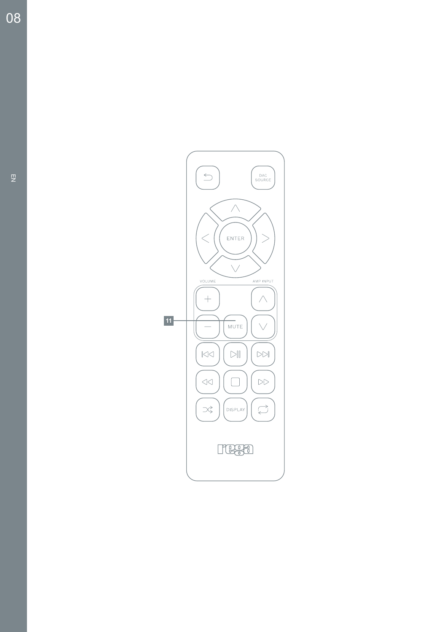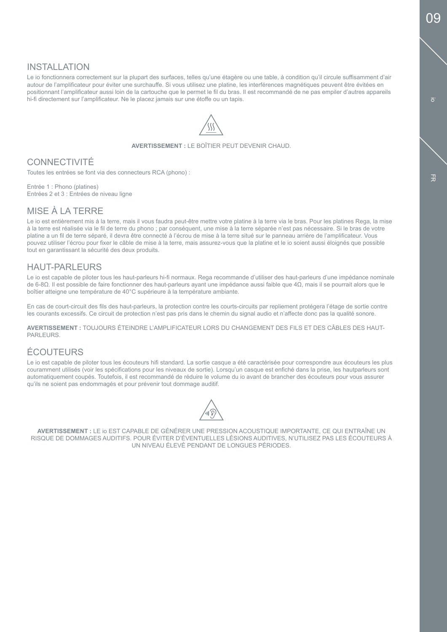# INSTALLATION

Le io fonctionnera correctement sur la plupart des surfaces, telles qu'une étagère ou une table, à condition qu'il circule suffisamment d'air autour de l'amplificateur pour éviter une surchauffe. Si vous utilisez une platine, les interférences magnétiques peuvent être évitées en positionnant l'amplificateur aussi loin de la cartouche que le permet le fil du bras. Il est recommandé de ne pas empiler d'autres appareils hi-fi directement sur l'amplificateur. Ne le placez jamais sur une étoffe ou un tapis.



**AVERTISSEMENT :** LE BOÎTIER PEUT DEVENIR CHAUD.

# **CONNECTIVITÉ**

Toutes les entrées se font via des connecteurs RCA (phono) :

Entrée 1 : Phono (platines) Entrées 2 et 3 : Entrées de niveau ligne

### MISE À LA TERRE

Le io est entièrement mis à la terre, mais il vous faudra peut-être mettre votre platine à la terre via le bras. Pour les platines Rega, la mise à la terre est réalisée via le fil de terre du phono ; par conséquent, une mise à la terre séparée n'est pas nécessaire. Si le bras de votre platine a un fil de terre séparé, il devra être connecté à l'écrou de mise à la terre situé sur le panneau arrière de l'amplificateur. Vous pouvez utiliser l'écrou pour fixer le câble de mise à la terre, mais assurez-vous que la platine et le io soient aussi éloignés que possible tout en garantissant la sécurité des deux produits.

# HAUT-PARLEURS

Le io est capable de piloter tous les haut-parleurs hi-fi normaux. Rega recommande d'utiliser des haut-parleurs d'une impédance nominale de 6-8Ω. Il est possible de faire fonctionner des haut-parleurs ayant une impédance aussi faible que 4Ω, mais il se pourrait alors que le boîtier atteigne une température de 40°C supérieure à la température ambiante.

En cas de court-circuit des fils des haut-parleurs, la protection contre les courts-circuits par repliement protégera l'étage de sortie contre les courants excessifs. Ce circuit de protection n'est pas pris dans le chemin du signal audio et n'affecte donc pas la qualité sonore.

**AVERTISSEMENT :** TOUJOURS ÉTEINDRE L'AMPLIFICATEUR LORS DU CHANGEMENT DES FILS ET DES CÂBLES DES HAUT-PARLEURS.

# ÉCOUTEURS

Le io est capable de piloter tous les écouteurs hifi standard. La sortie casque a été caractérisée pour correspondre aux écouteurs les plus couramment utilisés (voir les spécifications pour les niveaux de sortie). Lorsqu'un casque est enfiché dans la prise, les hautparleurs sont automatiquement coupés. Toutefois, il est recommandé de réduire le volume du io avant de brancher des écouteurs pour vous assurer qu'ils ne soient pas endommagés et pour prévenir tout dommage auditif.



**AVERTISSEMENT :** LE io EST CAPABLE DE GÉNÉRER UNE PRESSION ACOUSTIQUE IMPORTANTE, CE QUI ENTRAÎNE UN RISQUE DE DOMMAGES AUDITIFS. POUR ÉVITER D'ÉVENTUELLES LÉSIONS AUDITIVES, N'UTILISEZ PAS LES ÉCOUTEURS À UN NIVEAU ÉLEVÉ PENDANT DE LONGUES PÉRIODES.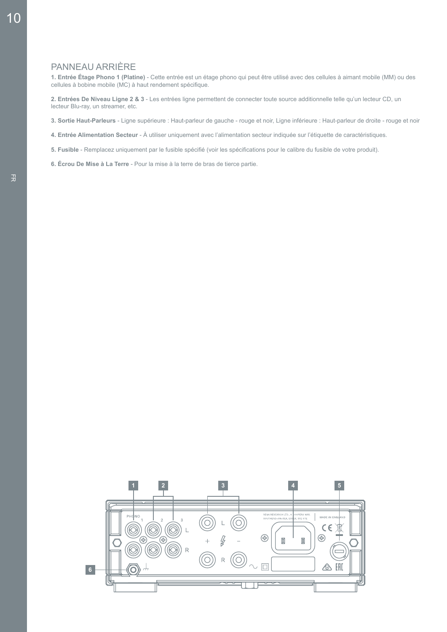# PANNEAU ARRIÈRE

**1. Entrée Étage Phono 1 (Platine)** - Cette entrée est un étage phono qui peut être utilisé avec des cellules à aimant mobile (MM) ou des cellules à bobine mobile (MC) à haut rendement spécifique.

**2. Entrées De Niveau Ligne 2 & 3** - Les entrées ligne permettent de connecter toute source additionnelle telle qu'un lecteur CD, un lecteur Blu-ray, un streamer, etc.

**3. Sortie Haut-Parleurs** - Ligne supérieure : Haut-parleur de gauche - rouge et noir, Ligne inférieure : Haut-parleur de droite - rouge et noir

- **4. Entrée Alimentation Secteur**  À utiliser uniquement avec l'alimentation secteur indiquée sur l'étiquette de caractéristiques.
- **5. Fusible**  Remplacez uniquement par le fusible spécifié (voir les spécifications pour le calibre du fusible de votre produit).
- **6. Écrou De Mise à La Terre**  Pour la mise à la terre de bras de tierce partie.

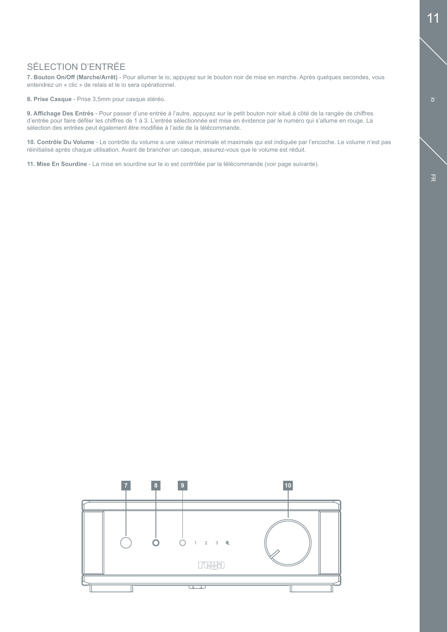# SÉLECTION D'ENTRÉE

**7. Bouton On/Off (Marche/Arrêt)** - Pour allumer le io, appuyez sur le bouton noir de mise en marche. Après quelques secondes, vous entendrez un « clic » de relais et le io sera opérationnel.

**8. Prise Casque** - Prise 3,5mm pour casque stéréo.

**9. Affichage Des Entrés** - Pour passer d'une entrée à l'autre, appuyez sur le petit bouton noir situé à côté de la rangée de chiffres d'entrée pour faire défiler les chiffres de 1 à 3. L'entrée sélectionnée est mise en évidence par le numéro qui s'allume en rouge. La sélection des entrées peut également être modifiée à l'aide de la télécommande.

**10. Contrôle Du Volume** - Le contrôle du volume a une valeur minimale et maximale qui est indiquée par l'encoche. Le volume n'est pas réinitialisé après chaque utilisation. Avant de brancher un casque, assurez-vous que le volume est réduit.

**11. Mise En Sourdine** - La mise en sourdine sur le io est contrôlée par la télécommande (voir page suivante).



io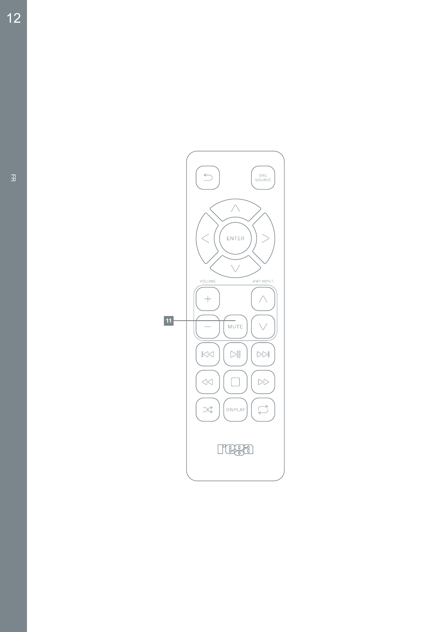

 $12$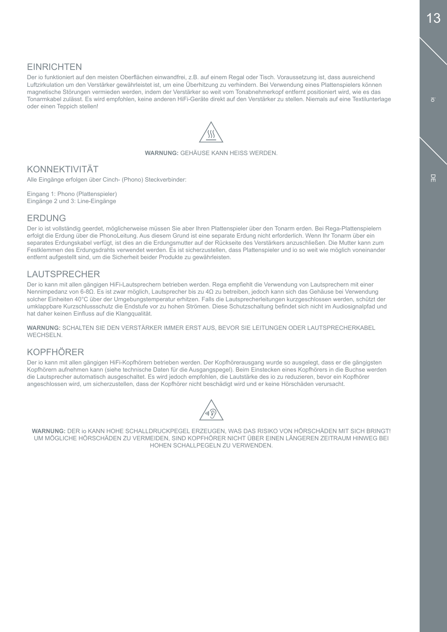Der io funktioniert auf den meisten Oberflächen einwandfrei, z.B. auf einem Regal oder Tisch. Voraussetzung ist, dass ausreichend Luftzirkulation um den Verstärker gewährleistet ist, um eine Überhitzung zu verhindern. Bei Verwendung eines Plattenspielers können magnetische Störungen vermieden werden, indem der Verstärker so weit vom Tonabnehmerkopf entfernt positioniert wird, wie es das Tonarmkabel zulässt. Es wird empfohlen, keine anderen HiFi-Geräte direkt auf den Verstärker zu stellen. Niemals auf eine Textilunterlage oder einen Teppich stellen!



**WARNUNG:** GEHÄUSE KANN HEISS WERDEN.

# KONNEKTIVITÄT

Alle Eingänge erfolgen über Cinch- (Phono) Steckverbinder:

Eingang 1: Phono (Plattenspieler) Eingänge 2 und 3: Line-Eingänge

# **FRDUNG**

Der io ist vollständig geerdet, möglicherweise müssen Sie aber Ihren Plattenspieler über den Tonarm erden. Bei Rega-Plattenspielern erfolgt die Erdung über die PhonoLeitung. Aus diesem Grund ist eine separate Erdung nicht erforderlich. Wenn Ihr Tonarm über ein separates Erdungskabel verfügt, ist dies an die Erdungsmutter auf der Rückseite des Verstärkers anzuschließen. Die Mutter kann zum Festklemmen des Erdungsdrahts verwendet werden. Es ist sicherzustellen, dass Plattenspieler und io so weit wie möglich voneinander entfernt aufgestellt sind, um die Sicherheit beider Produkte zu gewährleisten.

# LAUTSPRECHER

Der io kann mit allen gängigen HiFi-Lautsprechern betrieben werden. Rega empfiehlt die Verwendung von Lautsprechern mit einer Nennimpedanz von 6-8Ω. Es ist zwar möglich, Lautsprecher bis zu 4Ω zu betreiben, jedoch kann sich das Gehäuse bei Verwendung solcher Einheiten 40°C über der Umgebungstemperatur erhitzen. Falls die Lautsprecherleitungen kurzgeschlossen werden, schützt der umklappbare Kurzschlussschutz die Endstufe vor zu hohen Strömen. Diese Schutzschaltung befindet sich nicht im Audiosignalpfad und hat daher keinen Einfluss auf die Klangqualität.

**WARNUNG:** SCHALTEN SIE DEN VERSTÄRKER IMMER ERST AUS, BEVOR SIE LEITUNGEN ODER LAUTSPRECHERKABEL WECHSELN.

# KOPFHÖRER

Der io kann mit allen gängigen HiFi-Kopfhörern betrieben werden. Der Kopfhörerausgang wurde so ausgelegt, dass er die gängigsten Kopfhörern aufnehmen kann (siehe technische Daten für die Ausgangspegel). Beim Einstecken eines Kopfhörers in die Buchse werden die Lautsprecher automatisch ausgeschaltet. Es wird jedoch empfohlen, die Lautstärke des io zu reduzieren, bevor ein Kopfhörer angeschlossen wird, um sicherzustellen, dass der Kopfhörer nicht beschädigt wird und er keine Hörschäden verursacht.



**WARNUNG:** DER io KANN HOHE SCHALLDRUCKPEGEL ERZEUGEN, WAS DAS RISIKO VON HÖRSCHÄDEN MIT SICH BRINGT! UM MÖGLICHE HÖRSCHÄDEN ZU VERMEIDEN, SIND KOPFHÖRER NICHT ÜBER EINEN LÄNGEREN ZEITRAUM HINWEG BEI HOHEN SCHALLPEGELN ZU VERWENDEN.

 $\overline{a}$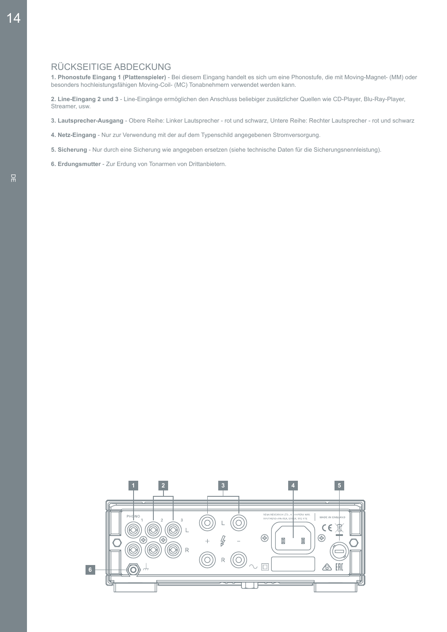# RÜCKSEITIGE ABDECKUNG

**1. Phonostufe Eingang 1 (Plattenspieler)** - Bei diesem Eingang handelt es sich um eine Phonostufe, die mit Moving-Magnet- (MM) oder besonders hochleistungsfähigen Moving-Coil- (MC) Tonabnehmern verwendet werden kann.

**2. Line-Eingang 2 und 3** - Line-Eingänge ermöglichen den Anschluss beliebiger zusätzlicher Quellen wie CD-Player, Blu-Ray-Player, Streamer, usw.

- **3. Lautsprecher-Ausgang**  Obere Reihe: Linker Lautsprecher rot und schwarz, Untere Reihe: Rechter Lautsprecher rot und schwarz
- **4. Netz-Eingang**  Nur zur Verwendung mit der auf dem Typenschild angegebenen Stromversorgung.
- **5. Sicherung**  Nur durch eine Sicherung wie angegeben ersetzen (siehe technische Daten für die Sicherungsnennleistung).
- **6. Erdungsmutter**  Zur Erdung von Tonarmen von Drittanbietern.

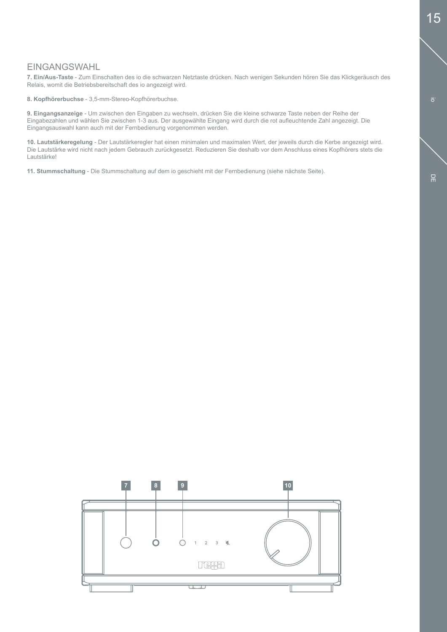io

# EINGANGSWAHL

**7. Ein/Aus-Taste** - Zum Einschalten des io die schwarzen Netztaste drücken. Nach wenigen Sekunden hören Sie das Klickgeräusch des Relais, womit die Betriebsbereitschaft des io angezeigt wird.

**8. Kopfhörerbuchse** - 3,5-mm-Stereo-Kopfhörerbuchse.

**9. Eingangsanzeige** - Um zwischen den Eingaben zu wechseln, drücken Sie die kleine schwarze Taste neben der Reihe der Eingabezahlen und wählen Sie zwischen 1-3 aus. Der ausgewählte Eingang wird durch die rot aufleuchtende Zahl angezeigt. Die Eingangsauswahl kann auch mit der Fernbedienung vorgenommen werden.

**10. Lautstärkeregelung** - Der Lautstärkeregler hat einen minimalen und maximalen Wert, der jeweils durch die Kerbe angezeigt wird. Die Lautstärke wird nicht nach jedem Gebrauch zurückgesetzt. Reduzieren Sie deshalb vor dem Anschluss eines Kopfhörers stets die Lautstärke!

**11. Stummschaltung** - Die Stummschaltung auf dem io geschieht mit der Fernbedienung (siehe nächste Seite).

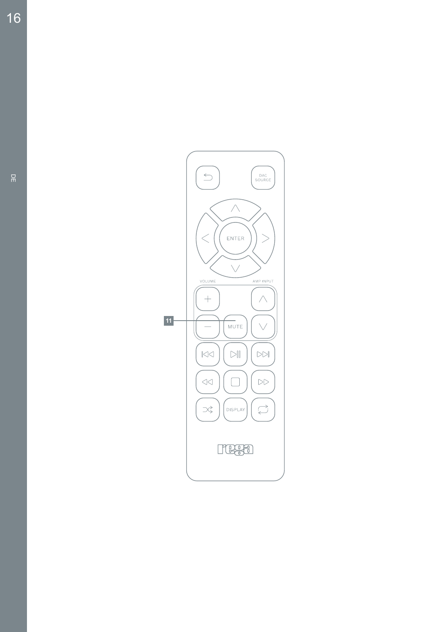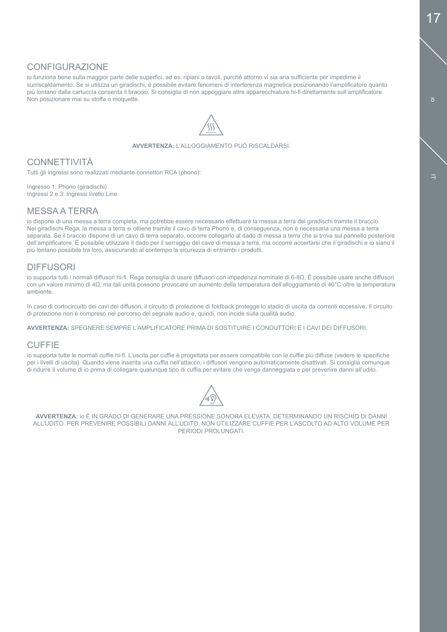i<sub>o</sub>

i.

# CONFIGURAZIONE

io funziona bene sulla maggior parte delle superfici, ad es. ripiani o tavoli, purché attorno vi sia aria sufficiente per impedirne il surriscaldamento. Se si utilizza un giradischi, è possibile evitare fenomeni di interferenza magnetica posizionando l'amplificatore quanto più lontano dalla cartuccia consenta il braccio. Si consiglia di non appoggiare altre apparecchiature hi-fi direttamente sull'amplificatore. Non posizionare mai su stoffa o moquette.



**AVVERTENZA:** L'ALLOGGIAMENTO PUÒ RISCALDARSI.

# **CONNETTIVITÀ**

Tutti gli ingressi sono realizzati mediante connettori RCA (phono):

Ingresso 1: Phono (giradischi) Ingressi 2 e 3: Ingressi livello Line

#### MESSA A TERRA

io dispone di una messa a terra completa, ma potrebbe essere necessario effettuare la messa a terra del giradischi tramite il braccio. Nei giradischi Rega, la messa a terra si ottiene tramite il cavo di terra Phono e, di conseguenza, non è necessaria una messa a terra separata. Se il braccio dispone di un cavo di terra separato, occorre collegarlo al dado di messa a terra che si trova sul pannello posteriore dell'amplificatore. È possibile utilizzare il dado per il serraggio del cavo di messa a terra, ma occorre accertarsi che il giradischi e io siano il più lontano possibile tra loro, assicurando al contempo la sicurezza di entrambi i prodotti.

### DIFFUSORI

io supporta tutti i normali diffusori hi-fi. Rega consiglia di usare diffusori con impedenza nominale di 6-8Ω. È possibile usare anche diffusori con un valore minimo di 4Ω, ma tali unità possono provocare un aumento della temperatura dell'alloggiamento di 40°C oltre la temperatura ambiente.

In caso di cortocircuito dei cavi dei diffusori, il circuito di protezione di foldback protegge lo stadio di uscita da correnti eccessive. Il circuito di protezione non è compreso nel percorso del segnale audio e, quindi, non incide sulla qualità audio.

**AVVERTENZA:** SPEGNERE SEMPRE L'AMPLIFICATORE PRIMA DI SOSTITUIRE I CONDUTTORI E I CAVI DEI DIFFUSORI.

### **CUFFIE**

io supporta tutte le normali cuffie hi-fi. L'uscita per cuffie è progettata per essere compatibile con le cuffie più diffuse (vedere le specifiche per i livelli di uscita). Quando viene inserita una cuffia nell'attacco, i diffusori vengono automaticamente disattivati. Si consiglia comunque di ridurre il volume di io prima di collegare qualunque tipo di cuffia per evitare che venga danneggiata e per prevenire danni all'udito.



**AVVERTENZA:** io È IN GRADO DI GENERARE UNA PRESSIONE SONORA ELEVATA, DETERMINANDO UN RISCHIO DI DANNI ALL'UDITO. PER PREVENIRE POSSIBILI DANNI ALL'UDITO, NON UTILIZZARE CUFFIE PER L'ASCOLTO AD ALTO VOLUME PER PERIODI PROLUNGATI.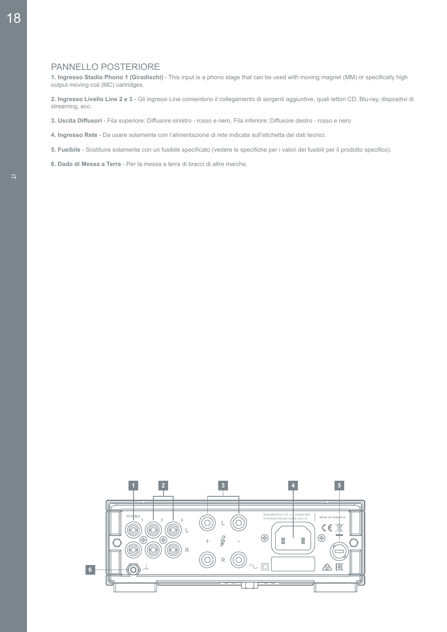#### PANNELLO POSTERIORE

**1. Ingresso Stadio Phono 1 (Giradischi)** - This input is a phono stage that can be used with moving magnet (MM) or specifically high output moving coil (MC) cartridges.

**2. Ingresso Livello Line 2 e 3** - Gli ingressi Line consentono il collegamento di sorgenti aggiuntive, quali lettori CD, Blu-ray, dispositivi di streaming, ecc.

- **3. Uscita Diffusori** Fila superiore: Diffusore sinistro rosso e nero, Fila inferiore: Diffusore destro rosso e nero
- **4. Ingresso Rete**  Da usare solamente con l'alimentazione di rete indicata sull'etichetta dei dati tecnici.
- **5. Fusibile**  Sostituire solamente con un fusibile specificato (vedere le specifiche per i valori dei fusibili per il prodotto specifico).
- **6. Dado di Messa a Terra** Per la messa a terra di bracci di altre marche.

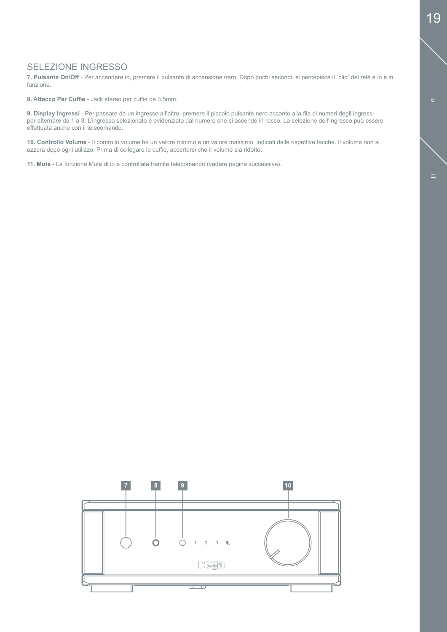# SELEZIONE INGRESSO

**7. Pulsante On/Off** - Per accendere io, premere il pulsante di accensione nero. Dopo pochi secondi, si percepisce il "clic" del relè e io è in funzione.

**8. Attacco Per Cuffie** - Jack stereo per cuffie da 3,5mm.

**9. Display Ingressi** - Per passare da un ingresso all'altro, premere il piccolo pulsante nero accanto alla fila di numeri degli ingressi per alternare da 1 a 3. L'ingresso selezionato è evidenziato dal numero che si accende in rosso. La selezione dell'ingresso può essere effettuata anche con il telecomando.

**10. Controllo Volume** - Il controllo volume ha un valore minimo e un valore massimo, indicati dalle rispettive tacche. Il volume non si azzera dopo ogni utilizzo. Prima di collegare le cuffie, accertarsi che il volume sia ridotto.

**11. Mute** - La funzione Mute di io è controllata tramite telecomando (vedere pagina successiva).

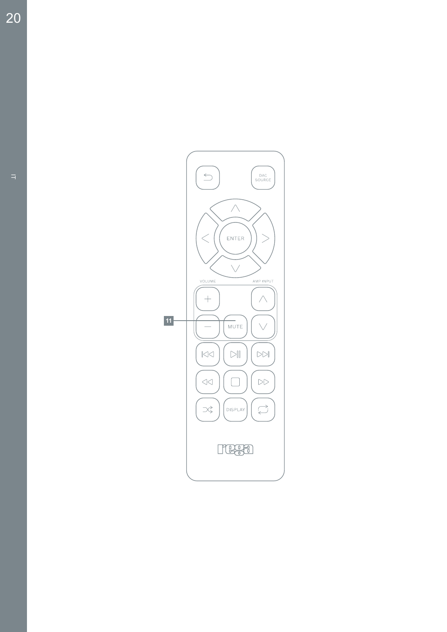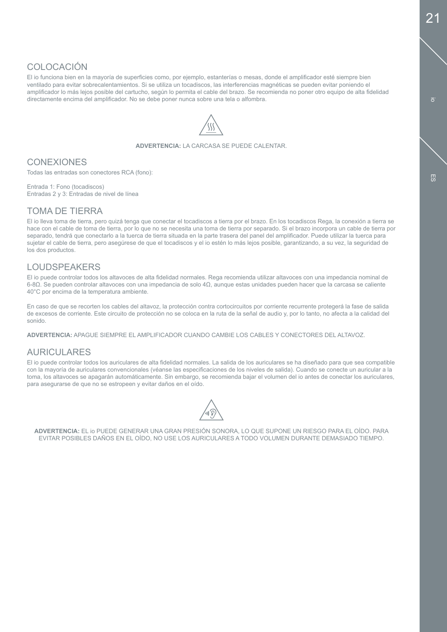# COLOCACIÓN

El io funciona bien en la mayoría de superficies como, por ejemplo, estanterías o mesas, donde el amplificador esté siempre bien ventilado para evitar sobrecalentamientos. Si se utiliza un tocadiscos, las interferencias magnéticas se pueden evitar poniendo el amplificador lo más lejos posible del cartucho, según lo permita el cable del brazo. Se recomienda no poner otro equipo de alta fidelidad directamente encima del amplificador. No se debe poner nunca sobre una tela o alfombra.



**ADVERTENCIA:** LA CARCASA SE PUEDE CALENTAR.

# **CONEXIONES**

Todas las entradas son conectores RCA (fono):

Entrada 1: Fono (tocadiscos) Entradas 2 y 3: Entradas de nivel de línea

### TOMA DE TIERRA

El io lleva toma de tierra, pero quizá tenga que conectar el tocadiscos a tierra por el brazo. En los tocadiscos Rega, la conexión a tierra se hace con el cable de toma de tierra, por lo que no se necesita una toma de tierra por separado. Si el brazo incorpora un cable de tierra por separado, tendrá que conectarlo a la tuerca de tierra situada en la parte trasera del panel del amplificador. Puede utilizar la tuerca para sujetar el cable de tierra, pero asegúrese de que el tocadiscos y el io estén lo más lejos posible, garantizando, a su vez, la seguridad de los dos productos.

# LOUDSPEAKERS

El io puede controlar todos los altavoces de alta fidelidad normales. Rega recomienda utilizar altavoces con una impedancia nominal de 6-8Ω. Se pueden controlar altavoces con una impedancia de solo 4Ω, aunque estas unidades pueden hacer que la carcasa se caliente 40°C por encima de la temperatura ambiente.

En caso de que se recorten los cables del altavoz, la protección contra cortocircuitos por corriente recurrente protegerá la fase de salida de excesos de corriente. Este circuito de protección no se coloca en la ruta de la señal de audio y, por lo tanto, no afecta a la calidad del sonido.

**ADVERTENCIA:** APAGUE SIEMPRE EL AMPLIFICADOR CUANDO CAMBIE LOS CABLES Y CONECTORES DEL ALTAVOZ.

### AURICULARES

El io puede controlar todos los auriculares de alta fidelidad normales. La salida de los auriculares se ha diseñado para que sea compatible con la mayoría de auriculares convencionales (véanse las especificaciones de los niveles de salida). Cuando se conecte un auricular a la toma, los altavoces se apagarán automáticamente. Sin embargo, se recomienda bajar el volumen del io antes de conectar los auriculares, para asegurarse de que no se estropeen y evitar daños en el oído.



**ADVERTENCIA:** EL io PUEDE GENERAR UNA GRAN PRESIÓN SONORA, LO QUE SUPONE UN RIESGO PARA EL OÍDO. PARA EVITAR POSIBLES DAÑOS EN EL OÍDO, NO USE LOS AURICULARES A TODO VOLUMEN DURANTE DEMASIADO TIEMPO.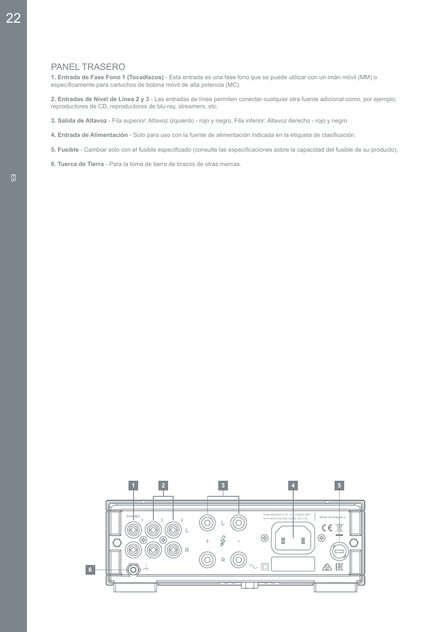### PANEL TRASERO

**1. Entrada de Fase Fono 1 (Tocadiscos)** - Esta entrada es una fase fono que se puede utilizar con un imán móvil (MM) o específicamente para cartuchos de bobina móvil de alta potencia (MC).

**2. Entradas de Nivel de Línea 2 y 3** - Las entradas de línea permiten conectar cualquier otra fuente adicional como, por ejemplo, reproductores de CD, reproductores de blu-ray, streamers, etc.

**3. Salida de Altavoz** - Fila superior: Altavoz izquierdo - rojo y negro, Fila inferior: Altavoz derecho - rojo y negro

**4. Entrada de Alimentación** - Solo para uso con la fuente de alimentación indicada en la etiqueta de clasificación.

**5. Fusible** - Cambiar solo con el fusible especificado (consulte las especificaciones sobre la capacidad del fusible de su producto).

**6. Tuerca de Tierra** - Para la toma de tierra de brazos de otras marcas.

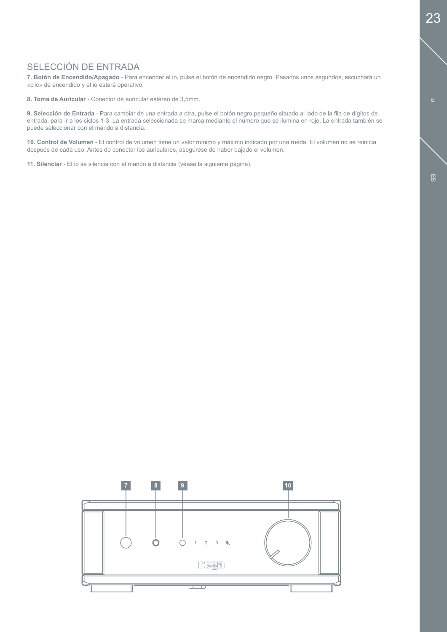# SELECCIÓN DE ENTRADA

**7. Botón de Encendido/Apagado** - Para encender el io, pulse el botón de encendido negro. Pasados unos segundos, escuchará un «clic» de encendido y el io estará operativo.

**8. Toma de Auricular** - Conector de auricular estéreo de 3,5mm.

**9. Selección de Entrada** - Para cambiar de una entrada a otra, pulse el botón negro pequeño situado al lado de la fila de dígitos de entrada, para ir a los ciclos 1-3. La entrada seleccionada se marca mediante el número que se ilumina en rojo. La entrada también se puede seleccionar con el mando a distancia.

**10. Control de Volumen** - El control de volumen tiene un valor mínimo y máximo indicado por una rueda. El volumen no se reinicia después de cada uso. Antes de conectar los auriculares, asegúrese de haber bajado el volumen.

**11. Silenciar** - El io se silencia con el mando a distancia (véase la siguiente página).



io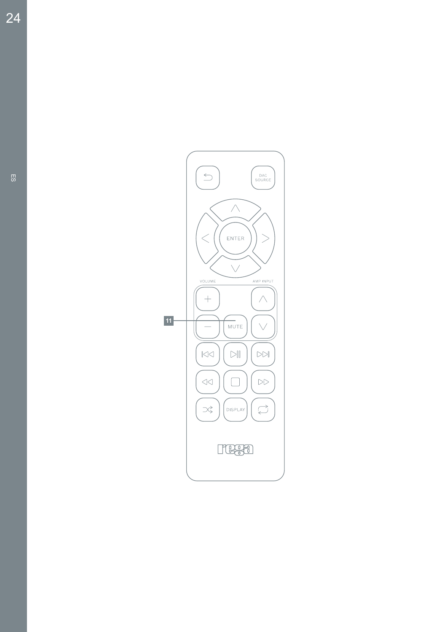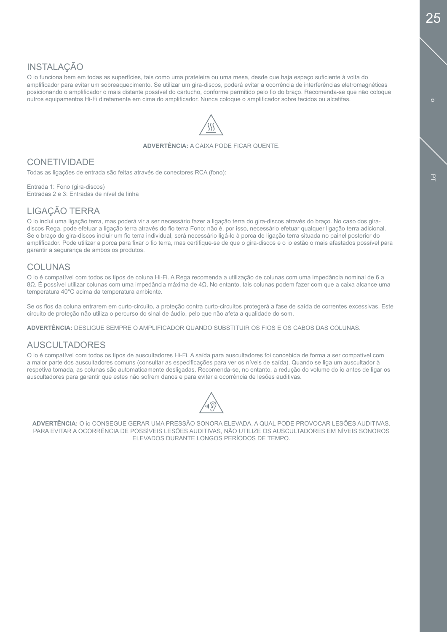# **INSTALAÇÃO**

O io funciona bem em todas as superfícies, tais como uma prateleira ou uma mesa, desde que haja espaço suficiente à volta do amplificador para evitar um sobreaquecimento. Se utilizar um gira-discos, poderá evitar a ocorrência de interferências eletromagnéticas posicionando o amplificador o mais distante possível do cartucho, conforme permitido pelo fio do braço. Recomenda-se que não coloque outros equipamentos Hi-Fi diretamente em cima do amplificador. Nunca coloque o amplificador sobre tecidos ou alcatifas.



#### **ADVERTÊNCIA:** A CAIXA PODE FICAR QUENTE.

# **CONETIVIDADE**

Todas as ligações de entrada são feitas através de conectores RCA (fono):

Entrada 1: Fono (gira-discos) Entradas 2 e 3: Entradas de nível de linha

### LIGAÇÃO TERRA

O io inclui uma ligação terra, mas poderá vir a ser necessário fazer a ligação terra do gira-discos através do braço. No caso dos giradiscos Rega, pode efetuar a ligação terra através do fio terra Fono; não é, por isso, necessário efetuar qualquer ligação terra adicional. Se o braço do gira-discos incluir um fio terra individual, será necessário ligá-lo à porca de ligação terra situada no painel posterior do amplificador. Pode utilizar a porca para fixar o fio terra, mas certifique-se de que o gira-discos e o io estão o mais afastados possível para garantir a segurança de ambos os produtos.

### COLUNAS

O io é compatível com todos os tipos de coluna Hi-Fi. A Rega recomenda a utilização de colunas com uma impedância nominal de 6 a 8Ω. É possível utilizar colunas com uma impedância máxima de 4Ω. No entanto, tais colunas podem fazer com que a caixa alcance uma temperatura 40°C acima da temperatura ambiente.

Se os fios da coluna entrarem em curto-circuito, a proteção contra curto-circuitos protegerá a fase de saída de correntes excessivas. Este circuito de proteção não utiliza o percurso do sinal de áudio, pelo que não afeta a qualidade do som.

**ADVERTÊNCIA:** DESLIGUE SEMPRE O AMPLIFICADOR QUANDO SUBSTITUIR OS FIOS E OS CABOS DAS COLUNAS.

### AUSCULTADORES

O io é compatível com todos os tipos de auscultadores Hi-Fi. A saída para auscultadores foi concebida de forma a ser compatível com a maior parte dos auscultadores comuns (consultar as especificações para ver os níveis de saída). Quando se liga um auscultador à respetiva tomada, as colunas são automaticamente desligadas. Recomenda-se, no entanto, a redução do volume do io antes de ligar os auscultadores para garantir que estes não sofrem danos e para evitar a ocorrência de lesões auditivas.



**ADVERTÊNCIA:** O io CONSEGUE GERAR UMA PRESSÃO SONORA ELEVADA, A QUAL PODE PROVOCAR LESÕES AUDITIVAS. PARA EVITAR A OCORRÊNCIA DE POSSÍVEIS LESÕES AUDITIVAS, NÃO UTILIZE OS AUSCULTADORES EM NÍVEIS SONOROS ELEVADOS DURANTE LONGOS PERÍODOS DE TEMPO.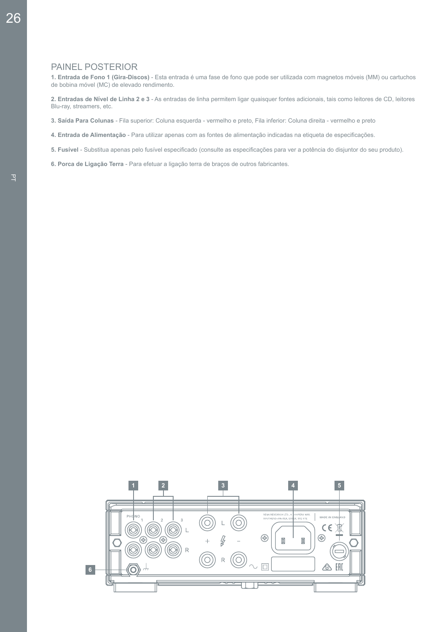### PAINEL POSTERIOR

**1. Entrada de Fono 1 (Gira-Discos)** - Esta entrada é uma fase de fono que pode ser utilizada com magnetos móveis (MM) ou cartuchos de bobina móvel (MC) de elevado rendimento.

**2. Entradas de NÍvel de Linha 2 e 3** - As entradas de linha permitem ligar quaisquer fontes adicionais, tais como leitores de CD, leitores Blu-ray, streamers, etc.

**3. SaÍda Para Colunas** - Fila superior: Coluna esquerda - vermelho e preto, Fila inferior: Coluna direita - vermelho e preto

- **4. Entrada de Alimentação**  Para utilizar apenas com as fontes de alimentação indicadas na etiqueta de especificações.
- **5. FusÍvel**  Substitua apenas pelo fusível especificado (consulte as especificações para ver a potência do disjuntor do seu produto).

**6. Porca de Ligação Terra** - Para efetuar a ligação terra de braços de outros fabricantes.

26

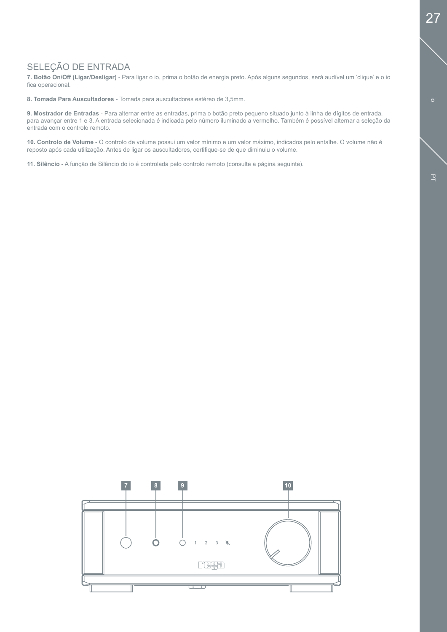# SELEÇÃO DE ENTRADA

**7. Botão On/Off (Ligar/Desligar)** - Para ligar o io, prima o botão de energia preto. Após alguns segundos, será audível um 'clique' e o io fica operacional.

**8. Tomada Para Auscultadores** - Tomada para auscultadores estéreo de 3,5mm.

**9. Mostrador de Entradas** - Para alternar entre as entradas, prima o botão preto pequeno situado junto à linha de dígitos de entrada, para avançar entre 1 e 3. A entrada selecionada é indicada pelo número iluminado a vermelho. Também é possível alternar a seleção da entrada com o controlo remoto.

**10. Controlo de Volume** - O controlo de volume possui um valor mínimo e um valor máximo, indicados pelo entalhe. O volume não é reposto após cada utilização. Antes de ligar os auscultadores, certifique-se de que diminuiu o volume.

**11. Silêncio** - A função de Silêncio do io é controlada pelo controlo remoto (consulte a página seguinte).

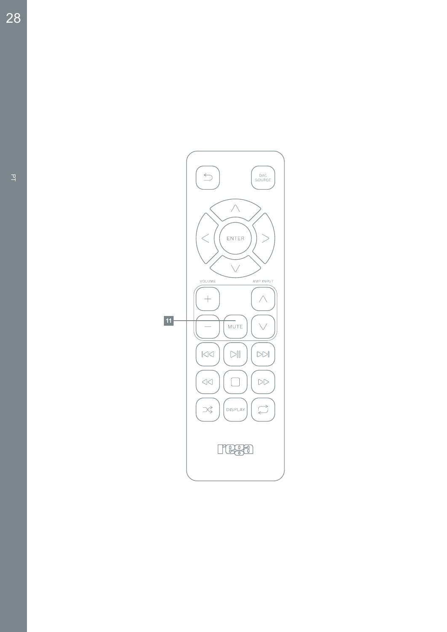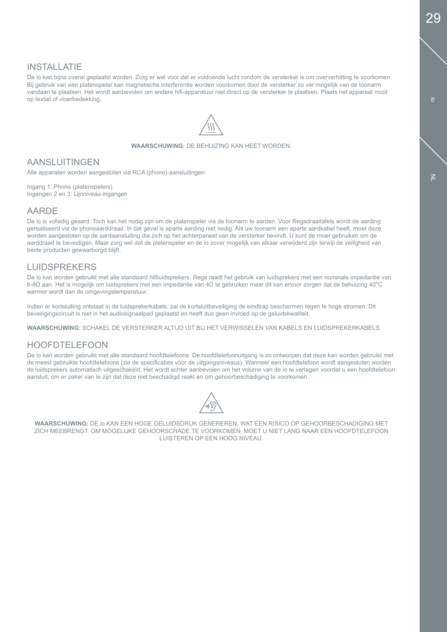# INSTALLATIE

De io kan bijna overal geplaatst worden. Zorg er wel voor dat er voldoende lucht rondom de versterker is om oververhitting te voorkomen. Bij gebruik van een platenspeler kan magnetische interferentie worden voorkomen door de versterker zo ver mogelijk van de toonarm vandaan te plaatsen. Het wordt aanbevolen om andere hifi-apparatuur niet direct op de versterker te plaatsen. Plaats het apparaat nooit op textiel of vloerbedekking.



**WAARSCHUWING:** DE BEHUIZING KAN HEET WORDEN.

# AANSLUITINGEN

Alle apparaten worden aangesloten via RCA (phono)-aansluitingen:

Ingang 1: Phono (platenspelers) Ingangen 2 en 3: Lijnniveau-ingangen

#### AARDE

De io is volledig geaard. Toch kan het nodig zijn om de platenspeler via de toonarm te aarden. Voor Regadraaitafels wordt de aarding gerealiseerd via de phonoaarddraad. In dat geval is aparte aarding niet nodig. Als uw toonarm een aparte aardkabel heeft, moet deze worden aangesloten op de aardaansluiting die zich op het achterpaneel van de versterker bevindt. U kunt de moer gebruiken om de aarddraad te bevestigen. Maar zorg wel dat de platenspeler en de io zover mogelijk van elkaar verwijderd zijn terwijl de veiligheid van beide producten gewaarborgd blijft.

# LUIDSPREKERS

De io kan worden gebruikt met alle standaard hifiluidsprekers. Rega raadt het gebruik van luidsprekers met een nominale impedantie van 6-8Ω aan. Het is mogelijk om luidsprekers met een impedantie van 4Ω te gebruiken maar dit kan ervoor zorgen dat de behuizing 40°C warmer wordt dan de omgevingstemperatuur.

Indien er kortsluiting ontstaat in de luidsprekerkabels, zal de kortsluitbeveiliging de eindtrap beschermen tegen te hoge stromen. Dit beveiligingscircuit is niet in het audiosignaalpad geplaatst en heeft dus geen invloed op de geluidskwaliteit.

**WAARSCHUWING:** SCHAKEL DE VERSTERKER ALTIJD UIT BIJ HET VERWISSELEN VAN KABELS EN LUIDSPREKERKABELS.

# HOOFDTELEFOON

De io kan worden gebruikt met alle standaard hoofdtelefoons. De hoofdtelefoonuitgang is zo ontworpen dat deze kan worden gebruikt met de meest gebruikte hoofdtelefoons (zie de specificaties voor de uitgangsniveaus). Wanneer een hoofdtelefoon wordt aangesloten worden de luidsprekers automatisch uitgeschakeld. Het wordt echter aanbevolen om het volume van de io te verlagen voordat u een hoofdtelefoon aansluit, om er zeker van te zijn dat deze niet beschadigd raakt en om gehoorbeschadiging te voorkomen.



**WAARSCHUWING:** DE io KAN EEN HOGE GELUIDSDRUK GENEREREN, WAT EEN RISICO OP GEHOORBESCHADIGING MET ZICH MEEBRENGT. OM MOGELIJKE GEHOORSCHADE TE VOORKOMEN, MOET U NIET LANG NAAR EEN HOOFDTELEFOON LUISTEREN OP EEN HOOG NIVEAU.

 $\geq$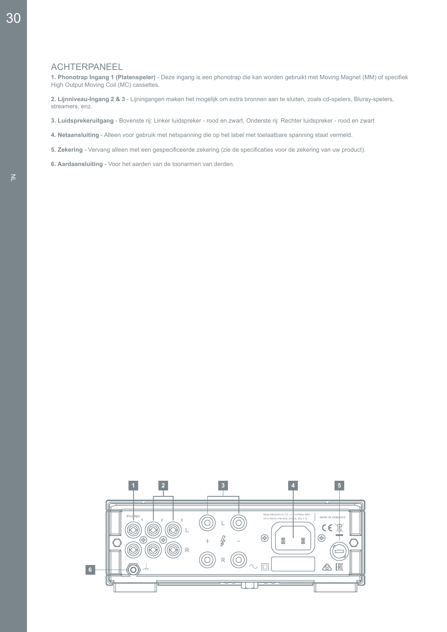#### ACHTERPANEEL

**1. Phonotrap Ingang 1 (Platenspeler)** - Deze ingang is een phonotrap die kan worden gebruikt met Moving Magnet (MM) of specifiek High Output Moving Coil (MC) cassettes.

**2. Lijnniveau-Ingang 2 & 3** - Lijningangen maken het mogelijk om extra bronnen aan te sluiten, zoals cd-spelers, Bluray-spelers, streamers, enz.

**3. Luidsprekeruitgang** - Bovenste rij: Linker luidspreker - rood en zwart, Onderste rij: Rechter luidspreker - rood en zwart

- **4. Netaansluiting**  Alleen voor gebruik met netspanning die op het label met toelaatbare spanning staat vermeld.
- **5. Zekering**  Vervang alleen met een gespecificeerde zekering (zie de specificaties voor de zekering van uw product).
- **6. Aardaansluiting** Voor het aarden van de toonarmen van derden.

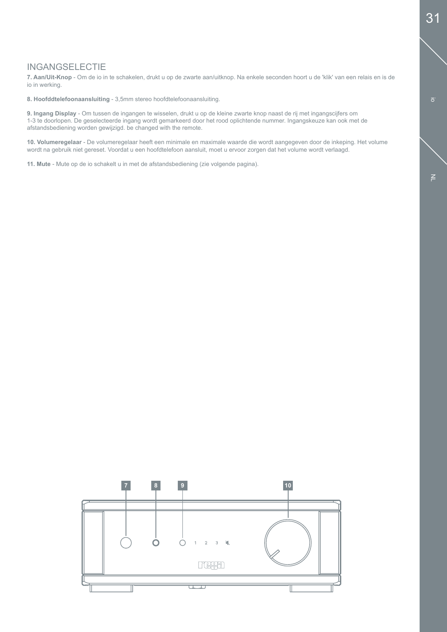# INGANGSELECTIE

**7. Aan/Uit-Knop** - Om de io in te schakelen, drukt u op de zwarte aan/uitknop. Na enkele seconden hoort u de 'klik' van een relais en is de io in werking.

**8. Hoofddtelefoonaansluiting** - 3,5mm stereo hoofdtelefoonaansluiting.

**9. Ingang Display** - Om tussen de ingangen te wisselen, drukt u op de kleine zwarte knop naast de rij met ingangscijfers om 1-3 te doorlopen. De geselecteerde ingang wordt gemarkeerd door het rood oplichtende nummer. Ingangskeuze kan ook met de afstandsbediening worden gewijzigd. be changed with the remote.

**10. Volumeregelaar** - De volumeregelaar heeft een minimale en maximale waarde die wordt aangegeven door de inkeping. Het volume wordt na gebruik niet gereset. Voordat u een hoofdtelefoon aansluit, moet u ervoor zorgen dat het volume wordt verlaagd.

**11. Mute** - Mute op de io schakelt u in met de afstandsbediening (zie volgende pagina).



io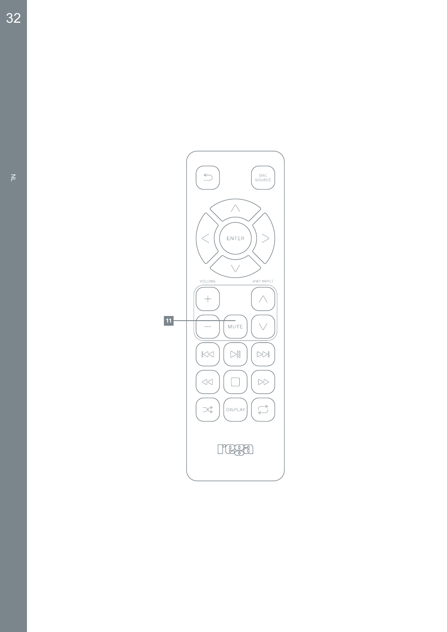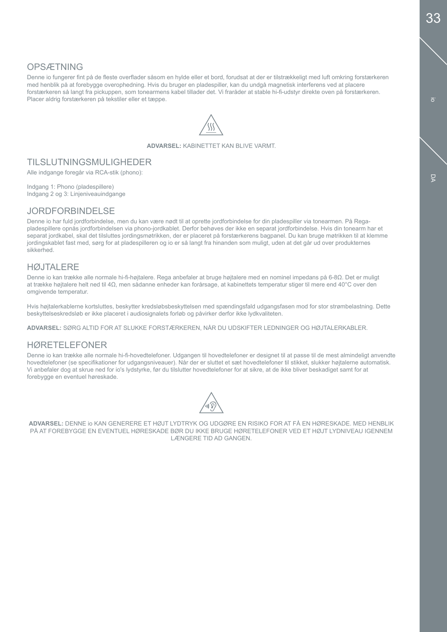# **OPSÆTNING**

Denne io fungerer fint på de fleste overflader såsom en hylde eller et bord, forudsat at der er tilstrækkeligt med luft omkring forstærkeren med henblik på at forebygge overophedning. Hvis du bruger en pladespiller, kan du undgå magnetisk interferens ved at placere forstærkeren så langt fra pickuppen, som tonearmens kabel tillader det. Vi fraråder at stable hi-fi-udstyr direkte oven på forstærkeren. Placer aldrig forstærkeren på tekstiler eller et tæppe.



**ADVARSEL:** KABINETTET KAN BLIVE VARMT.

# TILSLUTNINGSMULIGHEDER

Alle indgange foregår via RCA-stik (phono):

Indgang 1: Phono (pladespillere) Indgang 2 og 3: Linjeniveauindgange

#### JORDFORBINDELSE

Denne io har fuld jordforbindelse, men du kan være nødt til at oprette jordforbindelse for din pladespiller via tonearmen. På Regapladespillere opnås jordforbindelsen via phono-jordkablet. Derfor behøves der ikke en separat jordforbindelse. Hvis din tonearm har et separat jordkabel, skal det tilsluttes jordingsmøtrikken, der er placeret på forstærkerens bagpanel. Du kan bruge møtrikken til at klemme jordingskablet fast med, sørg for at pladespilleren og io er så langt fra hinanden som muligt, uden at det går ud over produkternes sikkerhed.

### **HØJTALERE**

Denne io kan trække alle normale hi-fi-højtalere. Rega anbefaler at bruge højtalere med en nominel impedans på 6-8Ω. Det er muligt at trække højtalere helt ned til 4Ω, men sådanne enheder kan forårsage, at kabinettets temperatur stiger til mere end 40°C over den omgivende temperatur.

Hvis højtalerkablerne kortsluttes, beskytter kredsløbsbeskyttelsen med spændingsfald udgangsfasen mod for stor strømbelastning. Dette beskyttelseskredsløb er ikke placeret i audiosignalets forløb og påvirker derfor ikke lydkvaliteten.

**ADVARSEL:** SØRG ALTID FOR AT SLUKKE FORSTÆRKEREN, NÅR DU UDSKIFTER LEDNINGER OG HØJTALERKABLER.

# HØRETELEFONER

Denne io kan trække alle normale hi-fi-hovedtelefoner. Udgangen til hovedtelefoner er designet til at passe til de mest almindeligt anvendte hovedtelefoner (se specifikationer for udgangsniveauer). Når der er sluttet et sæt hovedtelefoner til stikket, slukker højtalerne automatisk. Vi anbefaler dog at skrue ned for io's lydstyrke, før du tilslutter hovedtelefoner for at sikre, at de ikke bliver beskadiget samt for at forebygge en eventuel høreskade.



**ADVARSEL:** DENNE io KAN GENERERE ET HØJT LYDTRYK OG UDGØRE EN RISIKO FOR AT FÅ EN HØRESKADE. MED HENBLIK PÅ AT FOREBYGGE EN EVENTUEL HØRESKADE BØR DU IKKE BRUGE HØRETELEFONER VED ET HØJT LYDNIVEAU IGENNEM LÆNGERE TID AD GANGEN.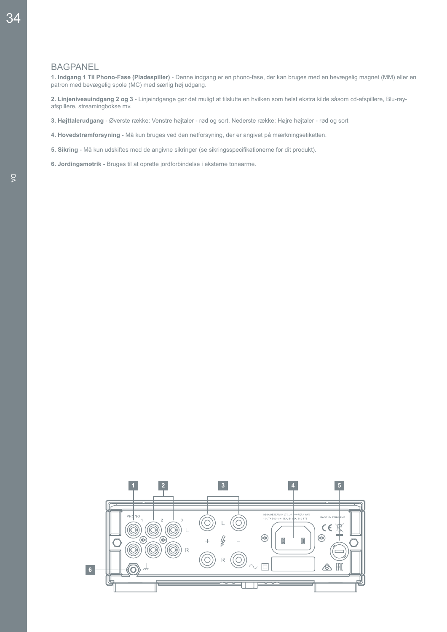#### **BAGPANEL**

**1. Indgang 1 Til Phono-Fase (Pladespiller)** - Denne indgang er en phono-fase, der kan bruges med en bevægelig magnet (MM) eller en patron med bevægelig spole (MC) med særlig høj udgang.

**2. Linjeniveauindgang 2 og 3** - Linjeindgange gør det muligt at tilslutte en hvilken som helst ekstra kilde såsom cd-afspillere, Blu-rayafspillere, streamingbokse mv.

**3. Højttalerudgang** - Øverste række: Venstre højtaler - rød og sort, Nederste række: Højre højtaler - rød og sort

- **4. Hovedstrømforsyning**  Må kun bruges ved den netforsyning, der er angivet på mærkningsetiketten.
- **5. Sikring**  Må kun udskiftes med de angivne sikringer (se sikringsspecifikationerne for dit produkt).
- **6. Jordingsmøtrik** Bruges til at oprette jordforbindelse i eksterne tonearme.

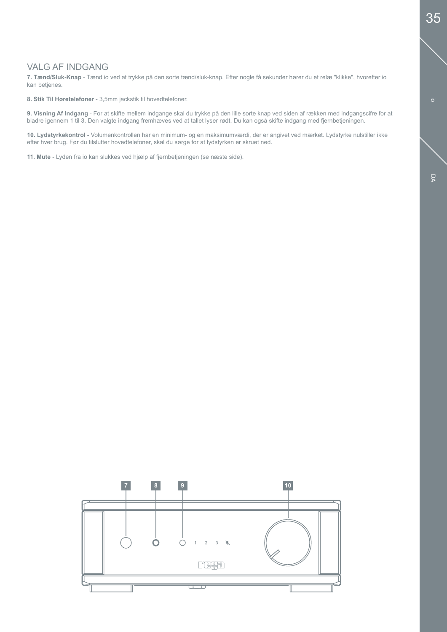# VALG AF INDGANG

**7. Tænd/Sluk-Knap** - Tænd io ved at trykke på den sorte tænd/sluk-knap. Efter nogle få sekunder hører du et relæ "klikke", hvorefter io kan betjenes.

**8. Stik Til Høretelefoner** - 3,5mm jackstik til hovedtelefoner.

**9. Visning Af Indgang** - For at skifte mellem indgange skal du trykke på den lille sorte knap ved siden af rækken med indgangscifre for at bladre igennem 1 til 3. Den valgte indgang fremhæves ved at tallet lyser rødt. Du kan også skifte indgang med fjernbetjeningen.

**10. Lydstyrkekontrol** - Volumenkontrollen har en minimum- og en maksimumværdi, der er angivet ved mærket. Lydstyrke nulstiller ikke efter hver brug. Før du tilslutter hovedtelefoner, skal du sørge for at lydstyrken er skruet ned.

**11. Mute** - Lyden fra io kan slukkes ved hjælp af fjernbetjeningen (se næste side).

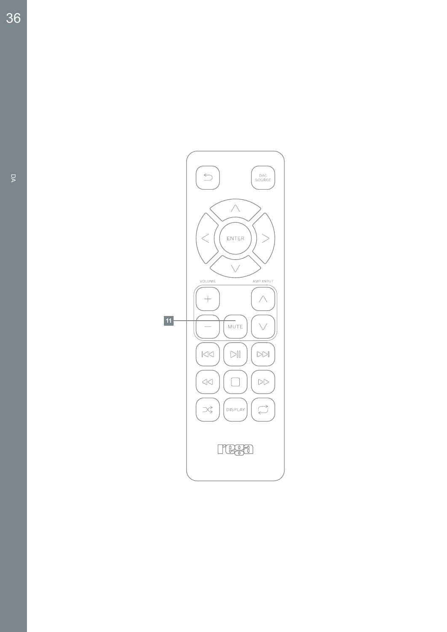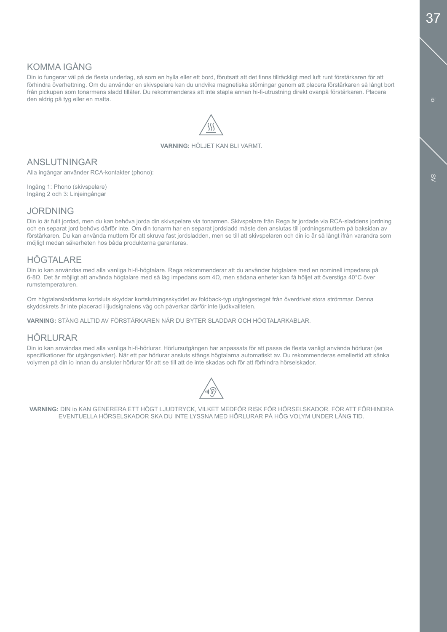# KOMMA IGÅNG

Din io fungerar väl på de flesta underlag, så som en hylla eller ett bord, förutsatt att det finns tillräckligt med luft runt förstärkaren för att förhindra överhettning. Om du använder en skivspelare kan du undvika magnetiska störningar genom att placera förstärkaren så långt bort från pickupen som tonarmens sladd tillåter. Du rekommenderas att inte stapla annan hi-fi-utrustning direkt ovanpå förstärkaren. Placera den aldrig på tyg eller en matta.



#### **VARNING:** HÖLJET KAN BLI VARMT.

### ANSLUTNINGAR

Alla ingångar använder RCA-kontakter (phono):

Ingång 1: Phono (skivspelare) Ingång 2 och 3: Linjeingångar

### JORDNING

Din io är fullt jordad, men du kan behöva jorda din skivspelare via tonarmen. Skivspelare från Rega är jordade via RCA-sladdens jordning och en separat jord behövs därför inte. Om din tonarm har en separat jordsladd måste den anslutas till jordningsmuttern på baksidan av förstärkaren. Du kan använda muttern för att skruva fast jordsladden, men se till att skivspelaren och din io är så långt ifrån varandra som möjligt medan säkerheten hos båda produkterna garanteras.

# HÖGTALARE

Din io kan användas med alla vanliga hi-fi-högtalare. Rega rekommenderar att du använder högtalare med en nominell impedans på 6-8Ω. Det är möjligt att använda högtalare med så låg impedans som 4Ω, men sådana enheter kan få höljet att överstiga 40°C över rumstemperaturen.

Om högtalarsladdarna kortsluts skyddar kortslutningsskyddet av foldback-typ utgångssteget från överdrivet stora strömmar. Denna skyddskrets är inte placerad i ljudsignalens väg och påverkar därför inte ljudkvaliteten.

**VARNING:** STÄNG ALLTID AV FÖRSTÄRKAREN NÄR DU BYTER SLADDAR OCH HÖGTALARKABLAR.

# HÖRLURAR

Din io kan användas med alla vanliga hi-fi-hörlurar. Hörlursutgången har anpassats för att passa de flesta vanligt använda hörlurar (se specifikationer för utgångsnivåer). När ett par hörlurar ansluts stängs högtalarna automatiskt av. Du rekommenderas emellertid att sänka volymen på din io innan du ansluter hörlurar för att se till att de inte skadas och för att förhindra hörselskador.



**VARNING:** DIN io KAN GENERERA ETT HÖGT LJUDTRYCK, VILKET MEDFÖR RISK FÖR HÖRSELSKADOR. FÖR ATT FÖRHINDRA EVENTUELLA HÖRSELSKADOR SKA DU INTE LYSSNA MED HÖRLURAR PÅ HÖG VOLYM UNDER LÅNG TID.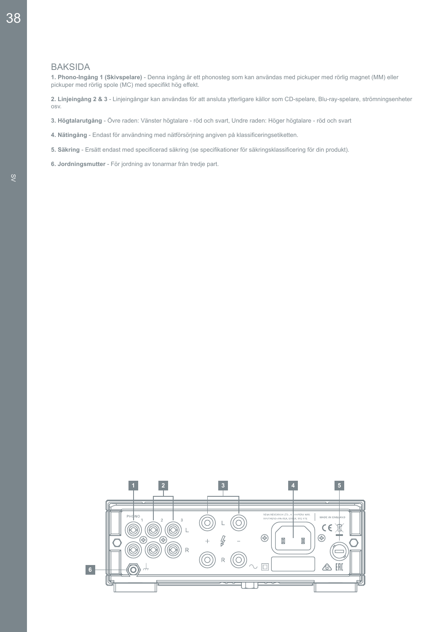### BAKSIDA

**1. Phono-Ingång 1 (Skivspelare)** - Denna ingång är ett phonosteg som kan användas med pickuper med rörlig magnet (MM) eller pickuper med rörlig spole (MC) med specifikt hög effekt.

**2. Linjeingång 2 & 3** - Linjeingångar kan användas för att ansluta ytterligare källor som CD-spelare, Blu-ray-spelare, strömningsenheter osv.

- **3. Högtalarutgång** Övre raden: Vänster högtalare röd och svart, Undre raden: Höger högtalare röd och svart
- **4. Nätingång**  Endast för användning med nätförsörjning angiven på klassificeringsetiketten.
- **5. Säkring**  Ersätt endast med specificerad säkring (se specifikationer för säkringsklassificering för din produkt).
- **6. Jordningsmutter** För jordning av tonarmar från tredje part.

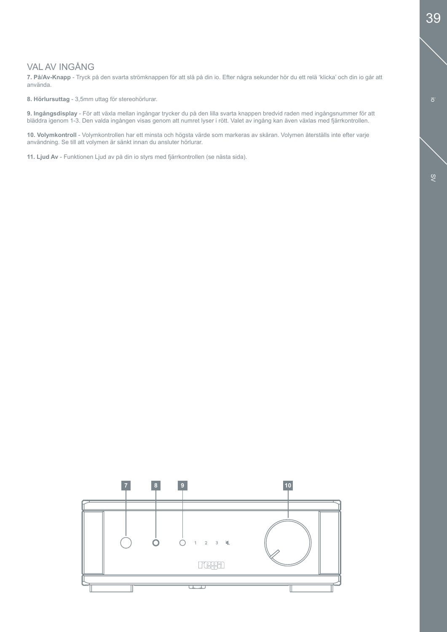# VAL AV INGÅNG

**7. På/Av-Knapp** - Tryck på den svarta strömknappen för att slå på din io. Efter några sekunder hör du ett relä 'klicka' och din io går att använda.

**8. Hörlursuttag** - 3,5mm uttag för stereohörlurar.

**9. Ingångsdisplay** - För att växla mellan ingångar trycker du på den lilla svarta knappen bredvid raden med ingångsnummer för att bläddra igenom 1-3. Den valda ingången visas genom att numret lyser i rött. Valet av ingång kan även växlas med fjärrkontrollen.

**10. Volymkontroll** - Volymkontrollen har ett minsta och högsta värde som markeras av skåran. Volymen återställs inte efter varje användning. Se till att volymen är sänkt innan du ansluter hörlurar.

**11. Ljud Av** - Funktionen Ljud av på din io styrs med fjärrkontrollen (se nästa sida).

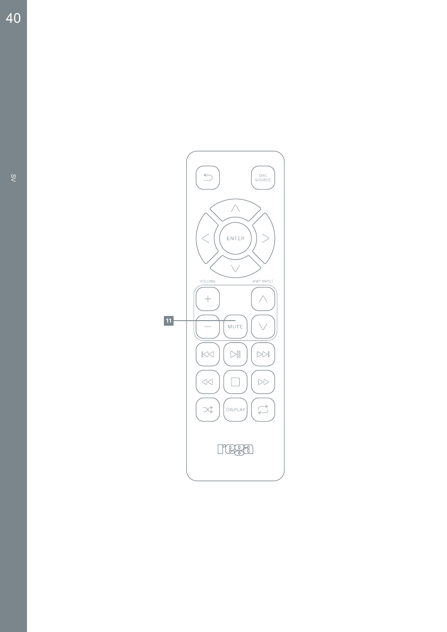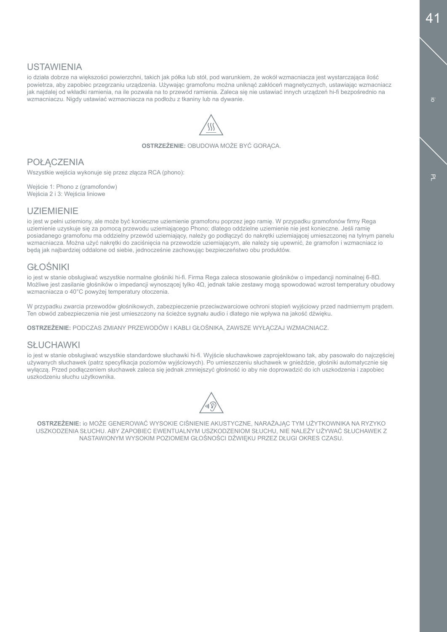### USTAWIENIA

io działa dobrze na większości powierzchni, takich jak półka lub stół, pod warunkiem, że wokół wzmacniacza jest wystarczająca ilość powietrza, aby zapobiec przegrzaniu urządzenia. Używając gramofonu można uniknąć zakłóceń magnetycznych, ustawiając wzmacniacz jak najdalej od wkładki ramienia, na ile pozwala na to przewód ramienia. Zaleca się nie ustawiać innych urządzeń hi-fi bezpośrednio na wzmacniaczu. Nigdy ustawiać wzmacniacza na podłożu z tkaniny lub na dywanie.



**OSTRZEŻENIE: OBUDOWA MOŻE BYĆ GORACA.** 

# **POŁACZENIA**

Wszystkie wejścia wykonuje się przez złącza RCA (phono):

Wejście 1: Phono z (gramofonów) Wejścia 2 i 3: Wejścia liniowe

### UZIEMIENIE

io jest w pełni uziemiony, ale może być konieczne uziemienie gramofonu poprzez jego ramię. W przypadku gramofonów firmy Rega uziemienie uzyskuje się za pomocą przewodu uziemiającego Phono; dlatego oddzielne uziemienie nie jest konieczne. Jeśli ramię posiadanego gramofonu ma oddzielny przewód uziemiający, należy go podłączyć do nakrętki uziemiającej umieszczonej na tylnym panelu wzmacniacza. Można użyć nakrętki do zaciśnięcia na przewodzie uziemiającym, ale należy się upewnić, że gramofon i wzmacniacz io będą jak najbardziej oddalone od siebie, jednocześnie zachowując bezpieczeństwo obu produktów.

# GŁOŚNIKI

io jest w stanie obsługiwać wszystkie normalne głośniki hi-fi. Firma Rega zaleca stosowanie głośników o impedancji nominalnej 6-8Ω. Możliwe jest zasilanie głośników o impedancji wynoszącej tylko 4Ω, jednak takie zestawy mogą spowodować wzrost temperatury obudowy wzmacniacza o 40°C powyżej temperatury otoczenia.

W przypadku zwarcia przewodów głośnikowych, zabezpieczenie przeciwzwarciowe ochroni stopień wyjściowy przed nadmiernym prądem. Ten obwód zabezpieczenia nie jest umieszczony na ścieżce sygnału audio i dlatego nie wpływa na jakość dźwięku.

**OSTRZEŻENIE:** PODCZAS ZMIANY PRZEWODÓW I KABLI GŁOŚNIKA, ZAWSZE WYŁĄCZAJ WZMACNIACZ.

### **SŁUCHAWKI**

io jest w stanie obsługiwać wszystkie standardowe słuchawki hi-fi. Wyjście słuchawkowe zaprojektowano tak, aby pasowało do najczęściej używanych słuchawek (patrz specyfikacja poziomów wyjściowych). Po umieszczeniu słuchawek w gnieździe, głośniki automatycznie się wyłączą. Przed podłączeniem słuchawek zaleca się jednak zmniejszyć głośność io aby nie doprowadzić do ich uszkodzenia i zapobiec uszkodzeniu słuchu użytkownika.



**OSTRZEŻENIE:** io MOŻE GENEROWAĆ WYSOKIE CIŚNIENIE AKUSTYCZNE, NARAŻAJĄC TYM UŻYTKOWNIKA NA RYZYKO USZKODZENIA SŁUCHU. ABY ZAPOBIEC EWENTUALNYM USZKODZENIOM SŁUCHU, NIE NALEŻY UŻYWAĆ SŁUCHAWEK Z NASTAWIONYM WYSOKIM POZIOMEM GŁOŚNOŚCI DŹWIĘKU PRZEZ DŁUGI OKRES CZASU.

 $\overline{a}$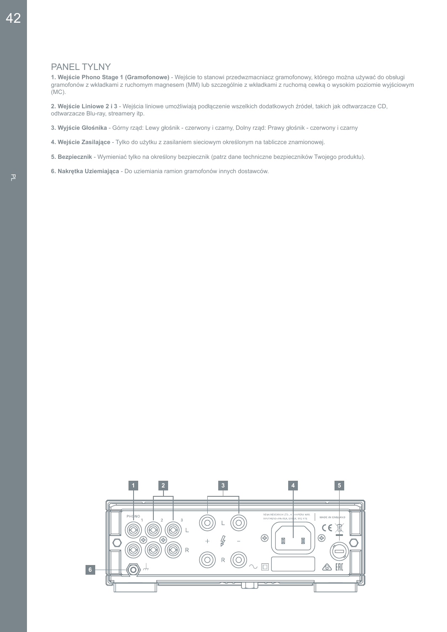#### PANEL TYLNY

**1. Wejście Phono Stage 1 (Gramofonowe)** - Wejście to stanowi przedwzmacniacz gramofonowy, którego można używać do obsługi gramofonów z wkładkami z ruchomym magnesem (MM) lub szczególnie z wkładkami z ruchomą cewką o wysokim poziomie wyjściowym (MC).

**2. Wejście Liniowe 2 i 3** - Wejścia liniowe umożliwiają podłączenie wszelkich dodatkowych źródeł, takich jak odtwarzacze CD, odtwarzacze Blu-ray, streamery itp.

**3. Wyjście Głośnika** - Górny rząd: Lewy głośnik - czerwony i czarny, Dolny rząd: Prawy głośnik - czerwony i czarny

- **4. Wejście Zasilające**  Tylko do użytku z zasilaniem sieciowym określonym na tabliczce znamionowej.
- **5. Bezpiecznik**  Wymieniać tylko na określony bezpiecznik (patrz dane techniczne bezpieczników Twojego produktu).
- **6. Nakrętka Uziemiająca** Do uziemiania ramion gramofonów innych dostawców.

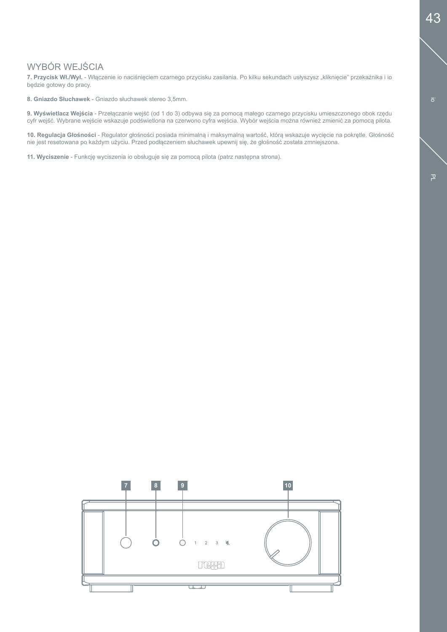# WYBÓR WEJŚCIA

7. Przycisk Wł./Wył. - Włączenie io naciśnięciem czarnego przycisku zasilania. Po kilku sekundach usłyszysz "kliknięcie" przekaźnika i io będzie gotowy do pracy.

**8. Gniazdo Słuchawek** - Gniazdo słuchawek stereo 3,5mm.

**9. Wyświetlacz Wejścia** - Przełączanie wejść (od 1 do 3) odbywa się za pomocą małego czarnego przycisku umieszczonego obok rzędu cyfr wejść. Wybrane wejście wskazuje podświetlona na czerwono cyfra wejścia. Wybór wejścia można również zmienić za pomocą pilota.

**10. Regulacja Głośności** - Regulator głośności posiada minimalną i maksymalną wartość, którą wskazuje wycięcie na pokrętle. Głośność nie jest resetowana po każdym użyciu. Przed podłączeniem słuchawek upewnij się, że głośność została zmniejszona.

**11. Wyciszenie** - Funkcję wyciszenia io obsługuje się za pomocą pilota (patrz następna strona).

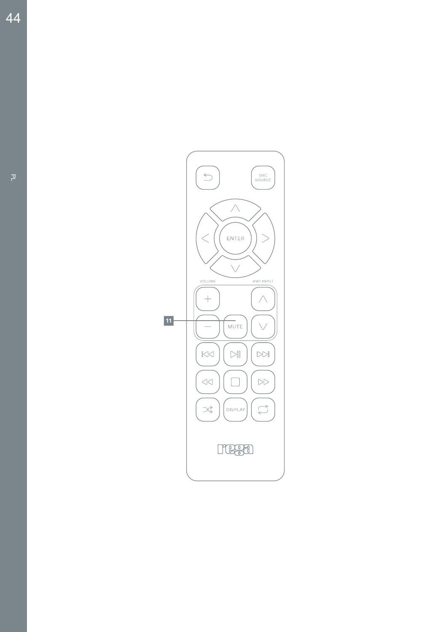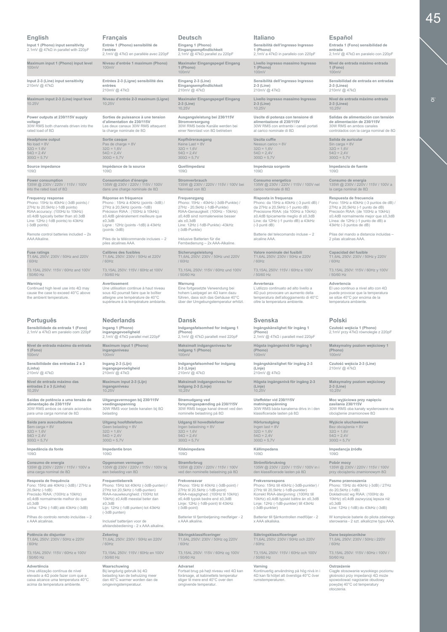|                                                                                                                                                                                                                                    | <b>Français</b>                                                                                                                                                                                                                      | <b>Deutsch</b>                                                                                                                                                                                                                          | Italiano                                                                                                                                                                                                                                 | Español                                                                                                                                                                                                                                           |
|------------------------------------------------------------------------------------------------------------------------------------------------------------------------------------------------------------------------------------|--------------------------------------------------------------------------------------------------------------------------------------------------------------------------------------------------------------------------------------|-----------------------------------------------------------------------------------------------------------------------------------------------------------------------------------------------------------------------------------------|------------------------------------------------------------------------------------------------------------------------------------------------------------------------------------------------------------------------------------------|---------------------------------------------------------------------------------------------------------------------------------------------------------------------------------------------------------------------------------------------------|
| Input 1 (Phono) input sensitivity<br>2.1mV @ 47kΩ in parallel with 220pF                                                                                                                                                           | Entrée 1 (Phono) sensibilité de<br>l'entrée<br>2,1mV @ 47kΩ en parallèle avec 220pF                                                                                                                                                  | Eingang 1 (Phono)<br>Eingangsempfindlichkeit<br>2,1mV @ 47kΩ parallel zu 220pF                                                                                                                                                          | Sensibilità dell'ingresso Ingresso<br>1 (Phono)<br>2,1mV a 47kΩ in parallelo con 220pF                                                                                                                                                   | Entrada 1 (Fono) sensibilidad de<br>entrada<br>2,1mV @ 47kΩ en paralelo con 220pF                                                                                                                                                                 |
| Maximum input 1 (Phono) input level<br>100mV                                                                                                                                                                                       | Niveau d'entrée 1 maximum (Phono)<br>100mV                                                                                                                                                                                           | Maximaler Eingangspegel Eingang<br>1 (Phono)<br>100mV                                                                                                                                                                                   | Livello ingresso massimo Ingresso<br>1 (Phono)<br>100mV                                                                                                                                                                                  | Nivel de entrada máximo entrada<br>1 (Fono)<br>100mV                                                                                                                                                                                              |
| Input 2-3 (Line) input sensitivity<br>210mV @ 47kΩ                                                                                                                                                                                 | Entrées 2-3 (Ligne) sensibilité des<br>entrées<br>210mV @ 47kΩ                                                                                                                                                                       | Eingang 2-3 (Line)<br>Eingangsempfindlichkeit<br>210mV @ 47kΩ                                                                                                                                                                           | Sensibilità dell'ingresso Ingresso<br>$2-3$ (Line)<br>210mV @ 47kΩ                                                                                                                                                                       | Sensibilidad de entrada en entradas<br>2-3 (Línea)<br>210mV @ 47kΩ                                                                                                                                                                                |
| Maximum input 2-3 (Line) input level<br>10.25V                                                                                                                                                                                     | Niveau d'entrée 2-3 maximum (Ligne)<br>10,25V                                                                                                                                                                                        | Maximaler Eingangspegel Eingang<br>$2-3$ (Line)<br>10,25V                                                                                                                                                                               | Livello ingresso massimo Ingresso<br>$2-3$ (Line)<br>10,25V                                                                                                                                                                              | Nivel de entrada máximo entrada<br>$2-3$ (Línea)<br>10,25V                                                                                                                                                                                        |
| Power outputs at 230/115V supply                                                                                                                                                                                                   | Sorties de puissance à une tension                                                                                                                                                                                                   | Ausgangsleistung bei 230/115V                                                                                                                                                                                                           | Uscite di potenza con tensione di                                                                                                                                                                                                        | Salidas de alimentación con tensión                                                                                                                                                                                                               |
| voltage                                                                                                                                                                                                                            | d'alimentation de 230/115V                                                                                                                                                                                                           | Stromversorgung                                                                                                                                                                                                                         | alimentazione di 230/115V                                                                                                                                                                                                                | de alimentación de 230/115V                                                                                                                                                                                                                       |
| 30W RMS both channels driven into the                                                                                                                                                                                              | Les deux canaux 30W RMS attaquent                                                                                                                                                                                                    | 30W RMS beide Kanäle werden bei                                                                                                                                                                                                         | 30W RMS con entrambi i canali portati                                                                                                                                                                                                    | 30W RMS en ambos canales                                                                                                                                                                                                                          |
| rated load of 8Ω                                                                                                                                                                                                                   | la charge nominale de 8 $\Omega$                                                                                                                                                                                                     | einer Nennlast von 8Ω betrieben                                                                                                                                                                                                         | al carico nominale di 8Ω                                                                                                                                                                                                                 | controlados con la carga nominal de $8\Omega$                                                                                                                                                                                                     |
| <b>Headphone output</b>                                                                                                                                                                                                            | Sortie casque                                                                                                                                                                                                                        | Kopfhörerausgang                                                                                                                                                                                                                        | Uscita cuffie                                                                                                                                                                                                                            | Salida de auricular                                                                                                                                                                                                                               |
| No load = $8V$                                                                                                                                                                                                                     | Pas de charge = $8V$                                                                                                                                                                                                                 | Keine Last = 8V                                                                                                                                                                                                                         | Nessun carico = 8V                                                                                                                                                                                                                       | Sin carga = $8V$                                                                                                                                                                                                                                  |
| $32\Omega = 1.6V$                                                                                                                                                                                                                  | $32\Omega = 1,6V$                                                                                                                                                                                                                    | $32\Omega = 1,6V$                                                                                                                                                                                                                       | $32\Omega = 1,6V$                                                                                                                                                                                                                        | $32\Omega = 1,6V$                                                                                                                                                                                                                                 |
| $54\Omega = 2.4V$                                                                                                                                                                                                                  | $54\Omega = 2,4V$                                                                                                                                                                                                                    | $54\Omega = 2,4V$                                                                                                                                                                                                                       | $54\Omega = 2,4V$                                                                                                                                                                                                                        | $54\Omega = 2,4V$                                                                                                                                                                                                                                 |
| $300\Omega = 5.7V$                                                                                                                                                                                                                 | $300\Omega = 5,7V$                                                                                                                                                                                                                   | $300\Omega = 5,7V$                                                                                                                                                                                                                      | $300\Omega = 5,7V$                                                                                                                                                                                                                       | $300\Omega = 5,7V$                                                                                                                                                                                                                                |
| Source impedance                                                                                                                                                                                                                   | Impédance de la source                                                                                                                                                                                                               | Quellimpedanz                                                                                                                                                                                                                           | Impedenza sorgente                                                                                                                                                                                                                       | Impedancia de fuente                                                                                                                                                                                                                              |
| 109Ω                                                                                                                                                                                                                               | $109\Omega$                                                                                                                                                                                                                          | $109\Omega$                                                                                                                                                                                                                             | $109\Omega$                                                                                                                                                                                                                              | $109\Omega$                                                                                                                                                                                                                                       |
| Power consumption                                                                                                                                                                                                                  | Consommation d'énergie                                                                                                                                                                                                               | Stromverbrauch                                                                                                                                                                                                                          | Consumo energetico                                                                                                                                                                                                                       | Consumo de energía                                                                                                                                                                                                                                |
| 135W @ 230V / 220V / 115V / 100V                                                                                                                                                                                                   | 135W @ 230V / 220V / 115V / 100V                                                                                                                                                                                                     | 135W @ 230V / 220V / 115V / 100V bei                                                                                                                                                                                                    | 135W @ 230V / 220V / 115V / 100V nel                                                                                                                                                                                                     | 135W @ 230V / 220V / 115V / 100V a                                                                                                                                                                                                                |
| into the rated load of $8\Omega$                                                                                                                                                                                                   | dans une charge nominale de $8\Omega$                                                                                                                                                                                                | Nennlast von $8\Omega$                                                                                                                                                                                                                  | carico nominale di $8\Omega$                                                                                                                                                                                                             | la carga nominal de $8\Omega$                                                                                                                                                                                                                     |
| <b>Frequency response</b><br>Phono: 15Hz to 40kHz (-3dB points) /<br>27Hz to 20.5kHz (-1dB points)<br>RIAA accuracy: (100Hz to 10kHz)<br>±0.4dB typically better than ±0.3dB<br>Line: 12Hz (-1dB points) to 43kHz<br>(-3dB points) | Réponse en fréquence<br>Phono: 15Hz à 40kHz (points -3dB) /<br>27Hz à 20,5kHz (points -1dB)<br>Précision RIAA : (100Hz à 10kHz)<br>±0,4dB généralement meilleure que<br>±0,3dB<br>Ligne: 12Hz (points -1dB) à 43kHz<br>(points -3dB) | Frequenzgang<br>Phono: 15Hz - 40kHz (-3dB-Punkte) /<br>27Hz - 20,5kHz (-1dB-Punkte)<br>RIAA-Genauigkeit: (100Hz - 10kHz)<br>±0,4dB sind normalerweise besser<br>als $\pm 0.3$ d $B$<br>Line: 12Hz (-1dB-Punkte) -43kHz<br>(-3dB-Punkte) | Risposta in frequenza<br>Phono: da 15Hz a 40kHz (-3 punti dB) /<br>da 27Hz a 20,5kHz (-1 punto dB)<br>Precisione RIAA: (da 100Hz a 10kHz)<br>±0,4dB tipicamente meglio di ±0,3dB<br>Line: da 12Hz (-1 punto dB) a 43kHz<br>(-3 punti dB) | Respuesta de frecuencia<br>Fono: 15Hz a 40kHz (-3 puntos de dB) /<br>27Hz a 20,5kHz (-1 punto de dB)<br>Precisión RIAA: (de 100Hz a 10kHz)<br>±0,4dB normalmente mejor que ±0,3dB<br>Línea: de 12Hz (-1 punto de dB) a<br>43kHz (-3 puntos de dB) |
| Remote control batteries included - 2x                                                                                                                                                                                             | Piles de la télécommande incluses - 2                                                                                                                                                                                                | Inklusive Batterien für die                                                                                                                                                                                                             | Batterie del telecomando incluse - 2                                                                                                                                                                                                     | Pilas del mando a distancia incluidas -                                                                                                                                                                                                           |
| AAA Alkaline.                                                                                                                                                                                                                      | piles alcalines AAA.                                                                                                                                                                                                                 | Fernbedienung - 2x AAA-Alkaline.                                                                                                                                                                                                        | alcaline AAA.                                                                                                                                                                                                                            | 2 pilas alcalinas AAA.                                                                                                                                                                                                                            |
| <b>Fuse ratings</b>                                                                                                                                                                                                                | <b>Calibres des fusibles</b>                                                                                                                                                                                                         | Sicherungsleistung                                                                                                                                                                                                                      | Valore nominale dei fusibili                                                                                                                                                                                                             | Capacidad del fusible                                                                                                                                                                                                                             |
| T1.6AL 250V: 230V / 50Hz and 220V                                                                                                                                                                                                  | T1,6AL 250V: 230V / 50Hz et 220V                                                                                                                                                                                                     | T1,6AL 250V: 230V / 50Hz und 220V                                                                                                                                                                                                       | T1,6AL 250V: 230V / 50Hz e 220V                                                                                                                                                                                                          | T1,6AL 250V: 230V / 50Hz y 220V                                                                                                                                                                                                                   |
| 60Hz                                                                                                                                                                                                                               | /60Hz                                                                                                                                                                                                                                | /60Hz                                                                                                                                                                                                                                   | /60Hz                                                                                                                                                                                                                                    | /60Hz                                                                                                                                                                                                                                             |
| T3.15AL 250V: 115V / 60Hz and 100V                                                                                                                                                                                                 | T3,15AL 250V: 115V / 60Hz et 100V                                                                                                                                                                                                    | T3,15AL 250V: 115V / 60Hz und 100V                                                                                                                                                                                                      | T3,15AL 250V: 115V / 60Hz e 100V                                                                                                                                                                                                         | T3,15AL 250V: 115V / 60Hz y 100V                                                                                                                                                                                                                  |
| 50/60 Hz                                                                                                                                                                                                                           | / 50/60 Hz                                                                                                                                                                                                                           | / 50/60 Hz                                                                                                                                                                                                                              | / 50/60 Hz                                                                                                                                                                                                                               | / 50/60 Hz                                                                                                                                                                                                                                        |
| Warning<br>Continued high level use into $4\Omega$ may<br>cause the case to exceed 40°C above<br>the ambient temperature.                                                                                                          | Avertissement<br>Une utilisation continue à haut niveau<br>sous $4Ω$ pourrait faire que le boîtier<br>atteigne une température de 40°C<br>supérieure à la température ambiante.                                                      | Warnung<br>Eine fortgesetzte Verwendung bei<br>hohem Lastpegel an 4Ω kann dazu<br>führen, dass sich das Gehäuse 40°C<br>über der Umgebungstemperatur erhitzt.                                                                           | Avvertenza<br>L'utilizzo continuato ad alto livello a<br>4Ω può provocare un aumento della<br>temperatura dell'alloggiamento di 40°C<br>oltre la temperatura ambiente.                                                                   | Advertencia<br>El uso continuo a nivel alto con $4\Omega$<br>puede provocar que la temperatura<br>se sitúe 40°C por encima de la<br>temperatura ambiente.                                                                                         |
|                                                                                                                                                                                                                                    |                                                                                                                                                                                                                                      |                                                                                                                                                                                                                                         |                                                                                                                                                                                                                                          |                                                                                                                                                                                                                                                   |
| Português                                                                                                                                                                                                                          | <b>Nederlands</b>                                                                                                                                                                                                                    | <b>Dansk</b>                                                                                                                                                                                                                            | <b>Svenska</b>                                                                                                                                                                                                                           | Polski                                                                                                                                                                                                                                            |
| Sensibilidade da entrada 1 (Fono)<br>2,1mV a 47kΩ em paralelo com 220pF                                                                                                                                                            | Ingang 1 (Phono)<br>ingangsgevoeligheid<br>2,1mV @ 47kΩ parallel met 220pF                                                                                                                                                           | Indgangsfølsomhed for indgang 1<br>(Phono)<br>2,1mV @ 47kΩ parallelt med 220pF                                                                                                                                                          | Ingångskänslighet för ingång 1<br>(Phono)<br>2,1mV @ 47kΩ i parallell med 220pF                                                                                                                                                          | Czułość wejścia 1 (Phono)<br>2,1mV przy 47kΩ równolegle z 220pF                                                                                                                                                                                   |
| Nível de entrada máximo da entrada                                                                                                                                                                                                 | Maximum input 1 (Phono)                                                                                                                                                                                                              | Maksimalt indgangsniveau for                                                                                                                                                                                                            | Högsta ingångsnivå för ingång 1                                                                                                                                                                                                          | Maksymalny poziom wejściowy 1                                                                                                                                                                                                                     |
| 1 (Fono)                                                                                                                                                                                                                           | ingangsniveau                                                                                                                                                                                                                        | indgang 1 (Phono)                                                                                                                                                                                                                       | (Phono)                                                                                                                                                                                                                                  | (Phono)                                                                                                                                                                                                                                           |
| 100mV                                                                                                                                                                                                                              | 100mV                                                                                                                                                                                                                                | 100mV                                                                                                                                                                                                                                   | 100mV                                                                                                                                                                                                                                    | 100mV                                                                                                                                                                                                                                             |
| Sensibilidade das entradas 2 a 3<br>(Linha)<br>210mV @ 47kΩ                                                                                                                                                                        | Ingang 2-3 (Lijn)<br>ingangsgevoeligheid<br>210mV @ 47kΩ                                                                                                                                                                             | Indgangsfølsomhed for indgang<br>2-3 (Linje)<br>210mV @ 47kΩ                                                                                                                                                                            | Ingångskänslighet för ingång 2-3<br>(Linje)<br>210mV @ 47kΩ                                                                                                                                                                              | Czułość wejścia 2-3 (Line)<br>210mV @ 47kΩ                                                                                                                                                                                                        |
| Nível de entrada máximo das                                                                                                                                                                                                        | Maximum input 2-3 (Lijn)                                                                                                                                                                                                             | Maksimalt indgangsniveau for                                                                                                                                                                                                            | Högsta ingångsnivå för ingång 2-3                                                                                                                                                                                                        | Maksymalny poziom wejściowy                                                                                                                                                                                                                       |
| entradas 2 a 3 (Linha)                                                                                                                                                                                                             | ingangsniveau                                                                                                                                                                                                                        | indgang 2-3 (Linje)                                                                                                                                                                                                                     | (Linje)                                                                                                                                                                                                                                  | 2-3 (Line)                                                                                                                                                                                                                                        |
| 10,25V                                                                                                                                                                                                                             | 10,25V                                                                                                                                                                                                                               | 10,25V                                                                                                                                                                                                                                  | 10,25V                                                                                                                                                                                                                                   | 10,25V                                                                                                                                                                                                                                            |
| Saídas de potência a uma tensão de                                                                                                                                                                                                 | Uitgangsvermogen bij 230/115V                                                                                                                                                                                                        | Strømudgang ved                                                                                                                                                                                                                         | Uteffekter vid 230/115V                                                                                                                                                                                                                  | Moc wyjściowa przy napięciu                                                                                                                                                                                                                       |
| alimentação de 230/115V                                                                                                                                                                                                            | voedingsspanning                                                                                                                                                                                                                     | forsyningsspænding på 230/115V                                                                                                                                                                                                          | matningsspänning                                                                                                                                                                                                                         | zasilania 230/115V                                                                                                                                                                                                                                |
| 30W RMS ambos os canais acionados                                                                                                                                                                                                  | 30W RMS voor beide kanalen bij 8Ω                                                                                                                                                                                                    | 30W RMS begge kanal drevet ved den                                                                                                                                                                                                      | 30W RMS båda kanalerna drivs in i den                                                                                                                                                                                                    | 30W RMS oba kanały wysterowane na                                                                                                                                                                                                                 |
| para uma carga nominal de $8\Omega$                                                                                                                                                                                                | belasting                                                                                                                                                                                                                            | nominelle belastning på 8Ω                                                                                                                                                                                                              | klassificerade lasten på $8\Omega$                                                                                                                                                                                                       | obciążenie znamionowe $8\Omega$                                                                                                                                                                                                                   |
| Saída para auscultadores                                                                                                                                                                                                           | Uitgang hoofdtelefoon                                                                                                                                                                                                                | Udgang til hovedtelefoner                                                                                                                                                                                                               | Hörlursutgång                                                                                                                                                                                                                            | Wyjście słuchawkowe                                                                                                                                                                                                                               |
| Sem carga = 8V                                                                                                                                                                                                                     | Geen belasting = 8V                                                                                                                                                                                                                  | Ingen belastning $= 8V$                                                                                                                                                                                                                 | Ingen last = $8V$                                                                                                                                                                                                                        | Bez obciążenia = 8V                                                                                                                                                                                                                               |
| $32\Omega = 1,6V$                                                                                                                                                                                                                  | $32\Omega = 1,6V$                                                                                                                                                                                                                    | $32\Omega = 1,6V$                                                                                                                                                                                                                       | $32\Omega = 1,6V$                                                                                                                                                                                                                        | $32\Omega = 1,6V$                                                                                                                                                                                                                                 |
| $54\Omega = 2.4V$                                                                                                                                                                                                                  | $54\Omega = 2.4V$                                                                                                                                                                                                                    | $54\Omega = 2,4V$                                                                                                                                                                                                                       | $54\Omega = 2,4V$                                                                                                                                                                                                                        | $54\Omega = 2.4V$                                                                                                                                                                                                                                 |
| $300\Omega = 5,7V$                                                                                                                                                                                                                 | $300\Omega = 5,7V$                                                                                                                                                                                                                   | $300\Omega = 5.7V$                                                                                                                                                                                                                      | $300\Omega = 5,7V$                                                                                                                                                                                                                       | $300\Omega = 5.7V$                                                                                                                                                                                                                                |
| Impedância da fonte                                                                                                                                                                                                                | Impedantie bron                                                                                                                                                                                                                      | Kildeimpedans                                                                                                                                                                                                                           | Källimpedans                                                                                                                                                                                                                             | Impedancja źródła                                                                                                                                                                                                                                 |
| 109Ω                                                                                                                                                                                                                               | $109\Omega$                                                                                                                                                                                                                          | $109\Omega$                                                                                                                                                                                                                             | $109\Omega$                                                                                                                                                                                                                              | $109\Omega$                                                                                                                                                                                                                                       |
| Consumo de energia                                                                                                                                                                                                                 | Opgenomen vermogen                                                                                                                                                                                                                   | Strømforbrug                                                                                                                                                                                                                            | Strömförbrukning                                                                                                                                                                                                                         | Pobór mocy                                                                                                                                                                                                                                        |
| 135W @ 230V / 220V / 115V / 100V a                                                                                                                                                                                                 | 135W @ 230V / 220V / 115V / 100V bij                                                                                                                                                                                                 | 135W @ 230V / 220V / 115V / 100V                                                                                                                                                                                                        | 135W @ 230V / 220V / 115V / 100V in i                                                                                                                                                                                                    | 135W @ 230V / 220V / 115V / 100V                                                                                                                                                                                                                  |
| uma carga nominal de 8 $\Omega$                                                                                                                                                                                                    | een belasting van $8\Omega$                                                                                                                                                                                                          | ved den nominelle belastning på 8Ω                                                                                                                                                                                                      | den klassificerade lasten på $8\Omega$                                                                                                                                                                                                   | przy obciążeniu znamionowym 8Ω                                                                                                                                                                                                                    |
| Resposta de frequência                                                                                                                                                                                                             | Frequentiebereik                                                                                                                                                                                                                     | Frekvenssvar                                                                                                                                                                                                                            | Frekvensrespons                                                                                                                                                                                                                          | Pasmo przenoszenia                                                                                                                                                                                                                                |
| Fono: 15Hz até 40kHz (-3dB) / 27Hz a                                                                                                                                                                                               | Phono: 15Hz tot 40kHz (-3dB-punten) /                                                                                                                                                                                                | Phono: 15Hz til 40kHz (-3dB-point) /                                                                                                                                                                                                    | Phono: 15Hz till 40kHz (-3dB-punkter) /                                                                                                                                                                                                  | Phono: 15Hz do 40kHz (-3dB) / 27Hz                                                                                                                                                                                                                |
| 20,5kHz (-1dB)                                                                                                                                                                                                                     | 27Hz tot 20,5kHz (-1dB-punten)                                                                                                                                                                                                       | 27Hz til 20,5kHz (-1dB-point)                                                                                                                                                                                                           | 27Hz till 20,5kHz (-1dB-punkter)                                                                                                                                                                                                         | do 20,5kHz (-1dB)                                                                                                                                                                                                                                 |
| Precisão RIAA: (100Hz a 10kHz)                                                                                                                                                                                                     | RIAA-nauwkeurigheid: (100Hz tot                                                                                                                                                                                                      | RIAA-nøjagtighed: (100Hz til 10kHz)                                                                                                                                                                                                     | Korrekt RIAA-återgivning: (100Hz till                                                                                                                                                                                                    | Dokładność wg RIAA: (100Hz do                                                                                                                                                                                                                     |
| ±0,4dB normalmente melhor do que                                                                                                                                                                                                   | 10kHz) ±0,4dB meestal beter dan                                                                                                                                                                                                      | ±0,4dB typisk bedre end ±0,3dB                                                                                                                                                                                                          | 10kHz) ±0,4dB typiskt bättre än ±0,3dB                                                                                                                                                                                                   | 10kHz) ±0,4dB zazwyczaj lepsza niż                                                                                                                                                                                                                |
| ±0,3dB                                                                                                                                                                                                                             | ±0,3dB                                                                                                                                                                                                                               | Linje: 12Hz (-1dB-point) til 43kHz                                                                                                                                                                                                      | Linje: 12Hz (-1dB-punkter) till 43kHz                                                                                                                                                                                                    | ±0.3dE                                                                                                                                                                                                                                            |
| Linha: 12Hz (-1dB) até 43kHz (-3dB)                                                                                                                                                                                                | Lijn: 12Hz (-1dB punten) tot 43kHz                                                                                                                                                                                                   | (-3dB-point)                                                                                                                                                                                                                            | (-3dB-punkter)                                                                                                                                                                                                                           | Line: 12Hz (-1dB) do 43kHz (-3dB)                                                                                                                                                                                                                 |
| Pilhas do controlo remoto incluídas - 2<br>x AAA alcalinas.                                                                                                                                                                        | (-3dB punten)<br>Inclusief batterijen voor de<br>afstandsbediening - 2 x AAA alkaline.                                                                                                                                               | Batterier til fjernbetjening medfølger - 2<br>x AAA alkaline.                                                                                                                                                                           | Batterier till fjärrkontrollen medföljer - 2<br>x AAA alkaliska.                                                                                                                                                                         | W komplecie baterie do pilota zdalnego<br>sterowania - 2 szt. alkaliczne typu AAA.                                                                                                                                                                |
| Potência do disjuntor                                                                                                                                                                                                              | Zekering                                                                                                                                                                                                                             | Sikringsklassificeringer                                                                                                                                                                                                                | Säkringsklassificeringar                                                                                                                                                                                                                 | Dane bezpieczników                                                                                                                                                                                                                                |
| T1,6AL 250V: 230V / 50Hz e 220V                                                                                                                                                                                                    | T1,6AL 250V: 230V / 50Hz en 220V                                                                                                                                                                                                     | T1,6AL 250V: 230V / 50Hz og 220V                                                                                                                                                                                                        | T1,6AL 250V: 230V / 50Hz och 220V                                                                                                                                                                                                        | T1,6AL 250V: 230V / 50Hz i 220V                                                                                                                                                                                                                   |
| 60Hz                                                                                                                                                                                                                               | /60Hz                                                                                                                                                                                                                                | /60Hz                                                                                                                                                                                                                                   | /60Hz                                                                                                                                                                                                                                    | /60Hz                                                                                                                                                                                                                                             |
| T3,15AL 250V: 115V / 60Hz e 100V                                                                                                                                                                                                   | T3,15AL 250V: 115V / 60Hz en 100V                                                                                                                                                                                                    | T3,15AL 250V: 115V / 60Hz og 100V                                                                                                                                                                                                       | T3,15AL 250V: 115V / 60Hz och 100V                                                                                                                                                                                                       | T3,15AL 250V: 115V / 60Hz i 100V /                                                                                                                                                                                                                |
| 50/60 Hz                                                                                                                                                                                                                           | / 50/60 Hz                                                                                                                                                                                                                           | / 50/60 Hz                                                                                                                                                                                                                              | / 50/60 Hz                                                                                                                                                                                                                               | 50/60 Hz                                                                                                                                                                                                                                          |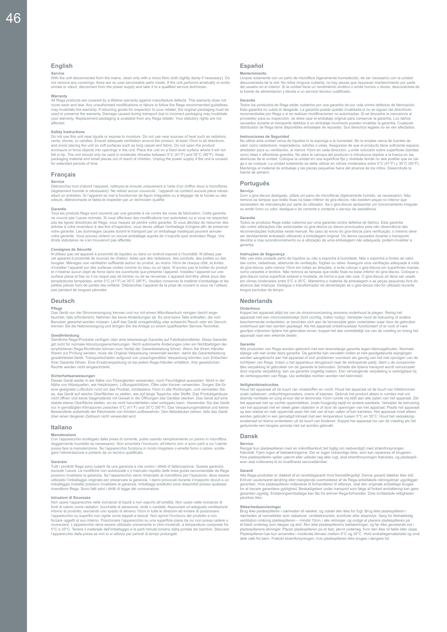#### **English**

**Service**<br>With the unit disconnected from the mains, clean only with a micro fibre cloth (lightly damp if necessary). Do<br>not remove any coverings; there are no user serviceable parts inside. If the unit performs erraticall

Warranty<br>All Rega products are covered by a lifetime warranty against manufacture defects. This warranty does not<br>All Rega products are covered by a lifetime warranty against manufacture defects. This warranty does not<br>cov affected.

Safety Instructions<br>To not use this unit near liquids or expose to moisture. Do not use near sources of heat such as radiators,<br>Do not use this unit near liquids or expose to moisture. Do not use near sources of heat such packaging material and small pieces out of reach of children. Unplug the power supply if the unit is unused for extended periods of time.

#### **Français**

#### **Service**

Débranchez tout d'abord l'appareil, nettoyez-le ensuite uniquement à l'aide d'un chiffon doux à microfibres<br>(légèrement humide si nécessaire). Ne retirez aucun couvercle ; l'appareil ne contient aucune pièce néces-<br>sitant

#### **Garantie**

Tous les produits Rega sont couverts par une garantie à vie contre les vices de fabrication. Cette garantie ne couvre pas l'usure normale. Si vous effectuez des modifications non autorisées ou si vous ne respectez<br>pas les lignes directiries de Rega, vous risquez de perdre votre garantie. Si vous décidez de retourner des<br>articles

Consignes de Sécurité<br>
ou displayer de Sécurité de liquides ou dans un endroit exposé à l'humidité. N'utilisez pas<br>
oct appareil à proximité de sources de chaleur, telles que des radiateurs, des conduits, des poêles ou des pendant de longues périodes.

#### **Deutsch**

#### **Pflege**

Das Gerät von der Stromversorgung trennen und nur mit einem Mikrofasertuch reinigen (leicht ange-<br>feuchtet, falls erforderlich). Nehmen Sie keine Abdeckungen ab. Es sind keine Teile enthalten, die vom<br>Benutzer gewartet wer

Gewährleistung<br>Sämtliche Rega-Produkte verfügen über eine lebenslange Garantie auf Fabrikationsfehler. Diese Garantie<br>silt nicht für normale Abnutzungserscheinungen. Nicht autorisierte Änderungen oder ein Nichtbefolgen der

Sicherheitsamweisungen<br>Dieses Gerät weder in der Nähe von Flüssigkeiten verwenden, noch Feuchtigkeit aussetzen. Nicht in der<br>Dieses Gerät weder in der Nähe von Flüssigkeiten verwenden, noch Feuchtigkeit aussetzen. Nicht in über einen längeren Zeitraum nicht verwendet wird.

#### **Italiano**

#### **Manutenzione**

Con l'apparecchio scollegato dalla presa di corrente, pulire usando semplicemente un panno in microfibra (leggermente inumidito se necessario). Non smontare l'involucro: all'interno non vi sono parti a cui l'utente<br>possa fare la manutenzione. Se l'apparecchio funziona in modo irregolare o emette fumo o odore, scolle-<br>gare l'a

**Garanzia**<br>Tutti i prodotti Rega sono coperti da una garanzia a vita contro i difetti di fabbricazione. Questa garanzia<br>esclude l'usura. Le modifiche non autorizzate o il mancato rispetto delle linee guida raccomandate da

**Istruzioni di Sicurezza**<br>Non usare l'apparecchio nelle vicinanze di liquidi e non esporto all'umidità. Non usare nelle vicinanze di Non usare l'apparecchio nelle vicinanze di liquidi e non esporto all'umidità. Non usare nelle vicinanze di<br>fonti di calore come radiatori, bocchette di aerazione, suffe o candele. Assicurare un'adeguata ventilazione<br>intorn recchio dalla presa se non lo si utilizza per periodi di tempo prolungati

#### **Español**

Mantenímiento<br>Limpiar solamente con un paño de microfibra (ligeramente humedecido, de ser necesario) con la unidad<br>desconectada de la red. No retire ninguna cubierta, no hay piezas que requieran mantenimiento por parte<br>del la fuente de alimentación y llévela a un servicio técnico cualificado.

Garantía<br>Todos los productos de Rega están cubiertos por una garantía de por vida contra defectos de fabricación.<br>Testa garantía no cubre el desgaste. La garantía puede quedar invalidada si no se siguen las directrices<br>rec distribuidor de Rega tiene disponibles embalajes de repuesto. Sus derechos legales no se ven afectados.

Instrucciones de Seguridad<br>
No la emplee cerca de fuentes de<br>
No utilice esta unidad cerca de fíquidos ni la exponga a la humedad. No la emplee cerca de fuentes de<br>
calor como radiadores, respiraderos, estufas o velas. Ase

#### **Português**

Serviço<br>Com o gira-discos desligado, utilize um pano de microfibras (ligeiramente húmido, se necessário). Não<br>remova as tampas que estão fixas na base inferior do gira-discos; não existem peças no interior que<br>necessitem d

Garantia<br>Todos os produtos Rega estão cobertos por uma garantia contra defeitos de fabrico. Esta garantia<br>Todos os produtos Rega estão cobertos por uma garantia contra defeitos de fabrico. Esta garantia<br>Trados obre alteraç garantia.

Instruções de Segurança<br>
Mão use esta unidade perfo de líquidos ou não a exponha à humidade. Não o exponha a fontes de calor,<br>
Não use esta unidade perfo de líquidos ou não a exponha à humidade. Não o exponha a fontes de c

#### **Nederlands**

**Onderhous**<br>Konnel het annaraat altijd los van de stroomvoorzjening alvorens onderhoud te plegen. Reinig het Koppel het apparaat altijd los van de stroomvoorziening alvorens onderhoud te plegen. Reinig het apparaat met een microvezeldoekje (licht vochtig, indien nodig). Verwijder nooit de behuzing of andere beschermende onderdele

Garantie<br>Alle producten van Rega worden geleverd met een levenslange garantie tegen fabricagefouten. Normale<br>slijtage valt niet onder deze garantie. De garantie kan vervallen indien er niet-goedgekeurde wijzigingen<br>slijtag

Veiligheidsinstructies<br>
Houd het apparaat uit de buurt van vloeistoffen en vocht. Houd het apparaat uit de buurt van hittebronnen<br>
zoals radiatoren, ontluchtingsroosters, ovens of kaarsen. Gebruik het product alleen in rui worden gebruikt in een gematigd klimaat met een temperatuur tussen 5°C en 35°C. Houd het verpakking-<br>smateriaal en kleine onderdelen uit de buurt van kinderen. Koppel het apparaat los van de voeding als het<br>gedurende een l

#### **Dansk**

Service<br>Rengør kun pladespilleren med en mikrofiberklud (let fugtig om nødvendigt) med strømforsyningen<br>frakoblet. Fjern ingen af beklædningerne. Der er ingen indvendige dele, som kan repareres af brugeren.<br>Hvis pladespill

Garanti<br>Alle Rega-produkter er dækket af en levetidsgaranti mod fremstillingsfejl. Denne garanti dækker ikke slid.<br>Alle Rega-produkter er dækket af en levetidsgaranti mod fremstillingsfejl. Denne garanti dækker ikke slid.<br> påvirkes ikke.

Sikkerhedsanvisninger<br>
Sing ikke pladespilleren i nærheden af væsker, og udsæt den ikke for fugt. Brug ikke pladespilleren i nærheden af væsker, og udsæt den ikke for fugt. Den specifically verificant merked and varmed int dele væk fra børn. Frakobl strømforsyningen, hvis pladespilleren ikke bruges i længere tid.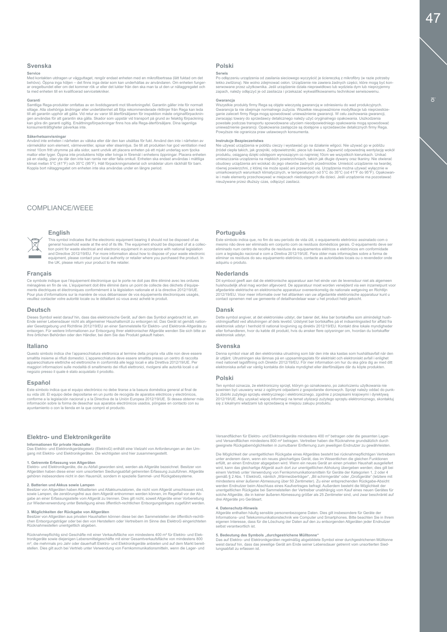#### **Svenska**

**Service**<br>Med kontakten utdragen ur vägguttaget, rengör endast enheten med en mikrofibertrasa (lätt fuktad om det<br>behövs). Öppna inga höljen – det finns inga delar som kan underhållas av användaren. Om enheten funger-<br>ar o ta med enheten till en kvalificerad servicetekniker.

Garanti<br>Sampliga Rega-produkter omfattas av en livstidsgaranti mot tillverkningsfel. Garantin gäller inte för normalt<br>slitage. Alla obehöriga ändringar eller underlåtenhet att följa rekommenderade riktlinjer från Rega kan .<br>Imenträttigheter påverkas inte.

#### **Säkerhetsanvisningar**

Använd inte enheten i närheten av vätska eller där den kan utsättas för fukt. Använd den inte i närheten av<br>värmekällor som element, värmeventiler, spisar eller stearinljus. Se till att produkten har god ventilation med<br>mi på en stadig, plan yta där den inte kan ramla ner eller falla omkull. Enheten ska endast användas i måttliga<br>klimat mellan 5°C (41°F) och 35°C (96°F). Håll förpackningsmaterial och smådelar utom räckhåll för barn.<br>Koppla b

#### COMPLIANCE/WEEE

**English**

#### **Français**

Ce symbole indique que l'équipement électronique qui le porte ne doit pas être éliminé avec les ordures ménagères en fin de vie. L'équipement doit être éliminé dans un point de collecte des déchets d'équipe-<br>ments électriques et électroniques conformément à la législation nationale et à la directive 2012/19/UE.<br>Pour plus d'i

the UK, please return your product to the retailer.

This symbol indicates that the electronic equipment bearing it should not be disposed of as<br>general household waste at the end of its life. The equipment should be disposed of at a collec-<br>tion point for waste electrical a

#### **Deutsch**

Dieses Symbol weist darauf hin, dass das elektronische Gerät, auf dem das Symbol angebracht ist, am Ende seiner Lebensdauer nicht als allgemeiner Haushaltsmüll zu entsorgen ist. Das Gerät ist gemäß nation-<br>aler Gesetzgebung und Richtlinie 2012/19/EU an einer Sammelstelle für Elektro- und Elektronik-Altgeräte zu<br>entsorge

#### **Italiano**

Questo simbolo indica che l'apparecchiatura elettronica al termine della propria vita utile non deve essere<br>smaltita insieme ai rifuti dormestici. L'apparecchiatura deve essere smaltita presso un centro di raccolta<br>apparec negozio presso il quale è stato acquistato il prodotto.

#### **Español**

Este símbolo indica que el equipo electrónico no debe tirarse a la basura doméstica general al final de<br>su vida útil. El equipo debe depositarse en un punto de recogida de aparatos eléctricos y electrónicos,<br>conforme a la información sobre la forma de desechar sus aparatos electrónicos usados, póngase en contacto con su ayuntamiento o con la tienda en la que compró el producto.

#### **Elektro- und Elektronikgeräte**

Informationen für private Haushalte<br>Das Elektro- und Elektronikgerätegesetz (ElektroG) enthält eine Vielzahl von Anforderungen an den Um-<br>gang mit Elektro- und Elektronikgeräten. Die wichtigsten sind hier zusammengestellt.

#### **1. Getrennte Erfassung von Altgeräten**

Elektro- und Elektronikgeräte, die zu Abfall geworden sind, werden als Altgeräte bezeichnet. Besitzer von<br>Altgeräten haben diese einer vom unsortierten Siedlungsabfall getrennten Erfassung zuzuführen. Altgeräte<br>gehören ins

#### **2. Batterien und Akkus sowie Lampen**

Besitzer von Altgeräten haben Altbatterien und Altakkumulatoren, die nicht vom Altgerät umschlossen sind, sowie Lampen, die zerstörungsfrei aus dem Altgerät entnommen werden können, im Regelfall vor der Ab-<br>gabe an einer Erfassungsstelle vom Altgerät zu trennen. Dies gilt nicht, soweit Altgeräte einer Vorbereitung<br>zur Wiederve

3. Möglichkeiten der Rückgabe von Altgeräten<br>Besitzer von Altgeräten aus privaten Haushalten können diese bei den Sammelstellen der öffentlich-rechtli-<br>chen Entsorgungsträger oder bei den von Herstellern oder Vertreibern i Rücknahmestellen unentgeltlich abgeben.

Rücknahmepflichtig sind Geschäfte mit einer Verkaufsfläche von mindestens 400 mª für Elektro- und Elek-<br>tronikgeräte sowie diejenigen Lebensmittelgeschäfte mit einer Gesamtverkaufsfläche von mindestens 800<br>mª, die mehrmal

#### **Polski**

**Serwis**<br>Po odłączeniu urządzenia od zasilania sieciowego wyczyścić je ściereczką z mikrofibry (w razie potrzeby<br>lekko zwilżoną). Nie wolno zdejmować osłon. Urządzenie nie zawiera żadnych części, które mogą być kon-<br>serwow zapach, należy odłączyć je od zasilacza i przekazać wykwalifikowanemu technikowi serwisowemu.

Gwarancja<br> w stysystkie produkty firmy Rega są objęte wieczystą gwarancją w odniesieniu do wad produkcyjnych.<br> Gwarancja ta nie obejmuje normalnego zużycia. Wszelkie nieupoważnione modyfikacje lub nieprzestrzeganie zaleceń

#### **Instrukcje Bezpieczeństwa**

Nie używać urządzenia w pobliżu cieczy i wystawiać go na działanie wilgoci. Nie używać go w pobliżu źródeł ciepła takich, jak grzejniki, odpowietrzniki, piece lub świece. Zapewnić odpowiednią wentylację wokół produktu, osiąganą dzięki odstępom wynoszącym co najmniej 10cm we wszystkich kierunkach. Unikać umieszczania urządzenia na miękkich powierzchniach, takich jak długie dywany oraz tkaniny. Nie otwierać obudowy urządzenia ani woiskać do jego otworów żadnych przedmiotów. Umieścić urządzenie na twardej,<br>równej powierzchni, z której nie może spaść ani przewrócić się. Urządzenia można używać wyłącznie w<br>umiarkowanych warunka

#### **Português**

Este símbolo indica que, no fim do seu período de vida útil, o equipamento eletrónico assinalado com o<br>mesmo não deve ser eliminado em conjunto com os residuos domésticos gerais. O equipamento deve ser<br>eliminado num centro eliminar os resíduos do seu equipamento eletrónico, contacte as autoridades locais ou o revendedor onde adquiriu o produto.

#### **Nederlands**

Dit symbool geeft aan dat de elektronische apparatuur aan het einde van de levensduur niet als algemeen huishoudelijk afval mag worden afgevoerd. De apparatuur moet worden verwijderd via een inzamelpunt voor<br>afgedankte elektrische en elektronische apparatuur overeenkomstig de nationale wetgeving en Richtlijn<br>2012/19/EU. Voor

#### **Dansk**

Dette symbol angiver, at det elektroniske udstyr, der bærer det, ikke bør bortskaffes som almindeligt hush-<br>oldningsaffald ved afslutningen af dets levetid. Udstyret bør bortskaffes på et indsamlingssted for affald fra<br>ele elektronisk udstyr.

#### **Svenska**

Denna symbol visar att den elektroniska utrustning som bär den inte ska kastas som hushållsavfall när den<br>är uttjänt. Utrustningen ska lämnas på en uppsamlingsplats för elektriskt och elektroniskt avfall i enlighet<br>med na

#### **Polski**

Ten symbol oznacza, że elektroniczny sprzęt, którym go oznakowano, po zakończeniu użytkowania nie<br>powinien być usuwany wraz z ogólnymi odpadami z gospodarstw domowych. Sprzęt należy oddać do punk<br>tu zbiórki zużytego sprzęt się z lokalnymi władzami lub sprzedawcą w miejscu zakupu produktu.

Versandflächen für Elektro- und Elektronikgeräte mindestens 400 m² betragen oder die gesamten Lagerund Versandflächen mindestens 800 m² betragen. Vertreiber haben die Rücknahme grundsätzlich durch geeignete Rückgabemöglichkeiten in zumutbarer Entfernung zum jeweiligen Endnutzer zu gewährleisten.

Die Möglichkeit der unentgeltlichen Rückgabe eines Altgerätes besteht bei rücknahmepflichtigen Vertreibern<br>unter anderem dam, wenn ein neues gleichartiges Gerät, das im Wesentlichen die gleichen Funktionen<br>erfüllt, an eine

4. Datenschutz-Hinweis<br>Altgeräte enthalten häufig sensible personenbezogene Daten. Dies gilt insbesondere für Geräte der<br>Informations- und Telekommunikationstechnik wie Computer und Smartphones. Bitte beachten Sie in Ihrem

5**. Bedeutung des Symbols "durchgestrichene Mülltonne"**<br>Das auf Elektro- und Elektronikgeräten regelmäßig abgebildete Symbol einer durchgestrichenen Mülltonne<br>weist darauf hin, dass das jeweilige Gerät am Ende seiner Leben lungsabfall zu erfassen ist.

io